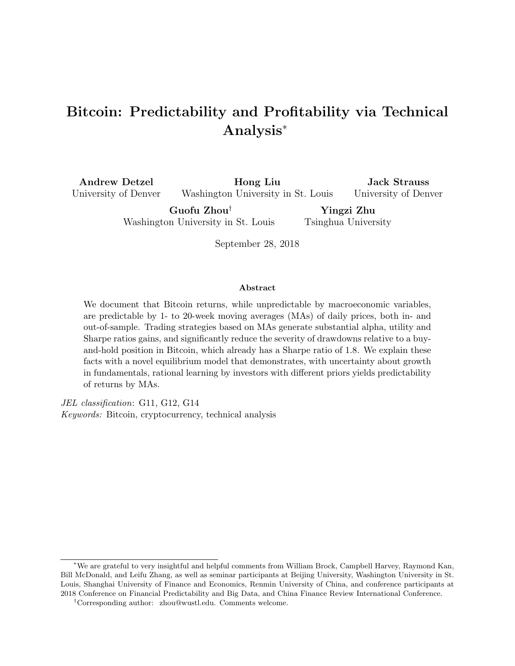# Bitcoin: Predictability and Profitability via Technical Analysis<sup>∗</sup>

Andrew Detzel University of Denver

Hong Liu Washington University in St. Louis

Jack Strauss University of Denver

Guofu Zhou† Washington University in St. Louis

Yingzi Zhu Tsinghua University

September 28, 2018

#### Abstract

We document that Bitcoin returns, while unpredictable by macroeconomic variables, are predictable by 1- to 20-week moving averages (MAs) of daily prices, both in- and out-of-sample. Trading strategies based on MAs generate substantial alpha, utility and Sharpe ratios gains, and significantly reduce the severity of drawdowns relative to a buyand-hold position in Bitcoin, which already has a Sharpe ratio of 1.8. We explain these facts with a novel equilibrium model that demonstrates, with uncertainty about growth in fundamentals, rational learning by investors with different priors yields predictability of returns by MAs.

JEL classification: G11, G12, G14 Keywords: Bitcoin, cryptocurrency, technical analysis

<sup>∗</sup>We are grateful to very insightful and helpful comments from William Brock, Campbell Harvey, Raymond Kan, Bill McDonald, and Leifu Zhang, as well as seminar participants at Beijing University, Washington University in St. Louis, Shanghai University of Finance and Economics, Renmin University of China, and conference participants at 2018 Conference on Financial Predictability and Big Data, and China Finance Review International Conference.

<sup>†</sup>Corresponding author: zhou@wustl.edu. Comments welcome.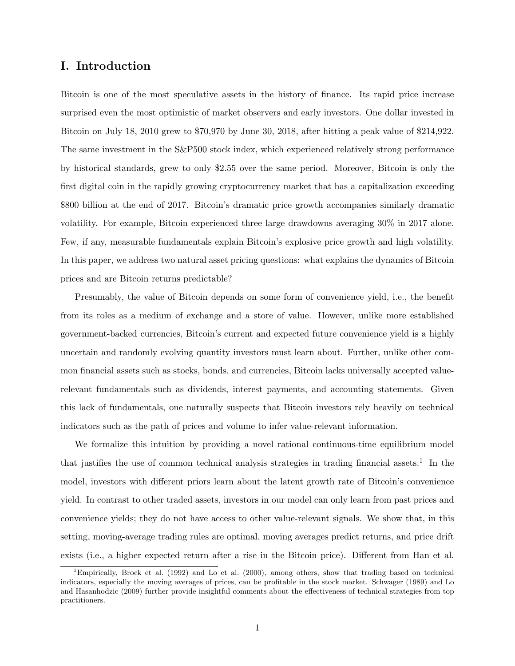### I. Introduction

Bitcoin is one of the most speculative assets in the history of finance. Its rapid price increase surprised even the most optimistic of market observers and early investors. One dollar invested in Bitcoin on July 18, 2010 grew to \$70,970 by June 30, 2018, after hitting a peak value of \$214,922. The same investment in the S&P500 stock index, which experienced relatively strong performance by historical standards, grew to only \$2.55 over the same period. Moreover, Bitcoin is only the first digital coin in the rapidly growing cryptocurrency market that has a capitalization exceeding \$800 billion at the end of 2017. Bitcoin's dramatic price growth accompanies similarly dramatic volatility. For example, Bitcoin experienced three large drawdowns averaging 30% in 2017 alone. Few, if any, measurable fundamentals explain Bitcoin's explosive price growth and high volatility. In this paper, we address two natural asset pricing questions: what explains the dynamics of Bitcoin prices and are Bitcoin returns predictable?

Presumably, the value of Bitcoin depends on some form of convenience yield, i.e., the benefit from its roles as a medium of exchange and a store of value. However, unlike more established government-backed currencies, Bitcoin's current and expected future convenience yield is a highly uncertain and randomly evolving quantity investors must learn about. Further, unlike other common financial assets such as stocks, bonds, and currencies, Bitcoin lacks universally accepted valuerelevant fundamentals such as dividends, interest payments, and accounting statements. Given this lack of fundamentals, one naturally suspects that Bitcoin investors rely heavily on technical indicators such as the path of prices and volume to infer value-relevant information.

We formalize this intuition by providing a novel rational continuous-time equilibrium model that justifies the use of common technical analysis strategies in trading financial assets.<sup>1</sup> In the model, investors with different priors learn about the latent growth rate of Bitcoin's convenience yield. In contrast to other traded assets, investors in our model can only learn from past prices and convenience yields; they do not have access to other value-relevant signals. We show that, in this setting, moving-average trading rules are optimal, moving averages predict returns, and price drift exists (i.e., a higher expected return after a rise in the Bitcoin price). Different from Han et al.

<sup>1</sup>Empirically, Brock et al. (1992) and Lo et al. (2000), among others, show that trading based on technical indicators, especially the moving averages of prices, can be profitable in the stock market. Schwager (1989) and Lo and Hasanhodzic (2009) further provide insightful comments about the effectiveness of technical strategies from top practitioners.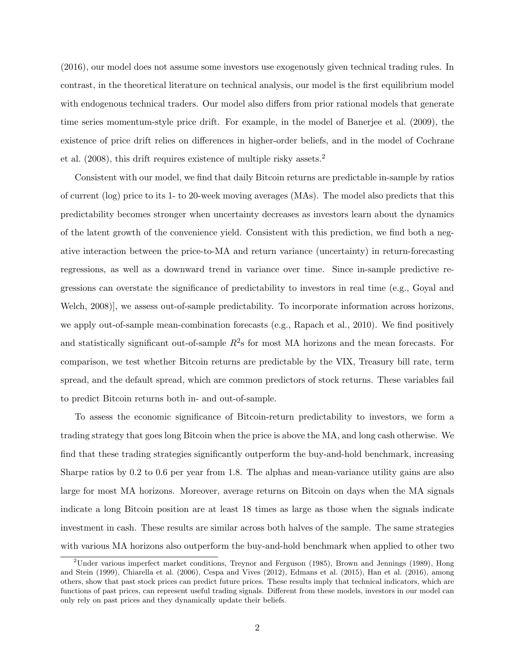(2016), our model does not assume some investors use exogenously given technical trading rules. In contrast, in the theoretical literature on technical analysis, our model is the first equilibrium model with endogenous technical traders. Our model also differs from prior rational models that generate time series momentum-style price drift. For example, in the model of Banerjee et al. (2009), the existence of price drift relies on differences in higher-order beliefs, and in the model of Cochrane et al. (2008), this drift requires existence of multiple risky assets.<sup>2</sup>

Consistent with our model, we find that daily Bitcoin returns are predictable in-sample by ratios of current (log) price to its 1- to 20-week moving averages (MAs). The model also predicts that this predictability becomes stronger when uncertainty decreases as investors learn about the dynamics of the latent growth of the convenience yield. Consistent with this prediction, we find both a negative interaction between the price-to-MA and return variance (uncertainty) in return-forecasting regressions, as well as a downward trend in variance over time. Since in-sample predictive regressions can overstate the significance of predictability to investors in real time (e.g., Goyal and Welch, 2008)], we assess out-of-sample predictability. To incorporate information across horizons, we apply out-of-sample mean-combination forecasts (e.g., Rapach et al., 2010). We find positively and statistically significant out-of-sample  $R^2$ s for most MA horizons and the mean forecasts. For comparison, we test whether Bitcoin returns are predictable by the VIX, Treasury bill rate, term spread, and the default spread, which are common predictors of stock returns. These variables fail to predict Bitcoin returns both in- and out-of-sample.

To assess the economic significance of Bitcoin-return predictability to investors, we form a trading strategy that goes long Bitcoin when the price is above the MA, and long cash otherwise. We find that these trading strategies significantly outperform the buy-and-hold benchmark, increasing Sharpe ratios by 0.2 to 0.6 per year from 1.8. The alphas and mean-variance utility gains are also large for most MA horizons. Moreover, average returns on Bitcoin on days when the MA signals indicate a long Bitcoin position are at least 18 times as large as those when the signals indicate investment in cash. These results are similar across both halves of the sample. The same strategies with various MA horizons also outperform the buy-and-hold benchmark when applied to other two

<sup>2</sup>Under various imperfect market conditions, Treynor and Ferguson (1985), Brown and Jennings (1989), Hong and Stein (1999), Chiarella et al. (2006), Cespa and Vives (2012), Edmans et al. (2015), Han et al. (2016), among others, show that past stock prices can predict future prices. These results imply that technical indicators, which are functions of past prices, can represent useful trading signals. Different from these models, investors in our model can only rely on past prices and they dynamically update their beliefs.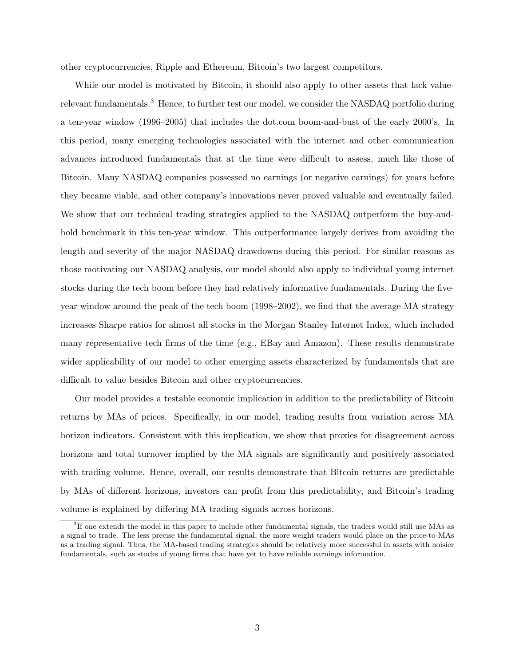other cryptocurrencies, Ripple and Ethereum, Bitcoin's two largest competitors.

While our model is motivated by Bitcoin, it should also apply to other assets that lack valuerelevant fundamentals.<sup>3</sup> Hence, to further test our model, we consider the NASDAQ portfolio during a ten-year window (1996–2005) that includes the dot.com boom-and-bust of the early 2000's. In this period, many emerging technologies associated with the internet and other communication advances introduced fundamentals that at the time were difficult to assess, much like those of Bitcoin. Many NASDAQ companies possessed no earnings (or negative earnings) for years before they became viable, and other company's innovations never proved valuable and eventually failed. We show that our technical trading strategies applied to the NASDAQ outperform the buy-andhold benchmark in this ten-year window. This outperformance largely derives from avoiding the length and severity of the major NASDAQ drawdowns during this period. For similar reasons as those motivating our NASDAQ analysis, our model should also apply to individual young internet stocks during the tech boom before they had relatively informative fundamentals. During the fiveyear window around the peak of the tech boom (1998–2002), we find that the average MA strategy increases Sharpe ratios for almost all stocks in the Morgan Stanley Internet Index, which included many representative tech firms of the time (e.g., EBay and Amazon). These results demonstrate wider applicability of our model to other emerging assets characterized by fundamentals that are difficult to value besides Bitcoin and other cryptocurrencies.

Our model provides a testable economic implication in addition to the predictability of Bitcoin returns by MAs of prices. Specifically, in our model, trading results from variation across MA horizon indicators. Consistent with this implication, we show that proxies for disagreement across horizons and total turnover implied by the MA signals are significantly and positively associated with trading volume. Hence, overall, our results demonstrate that Bitcoin returns are predictable by MAs of different horizons, investors can profit from this predictability, and Bitcoin's trading volume is explained by differing MA trading signals across horizons.

<sup>&</sup>lt;sup>3</sup>If one extends the model in this paper to include other fundamental signals, the traders would still use MAs as a signal to trade. The less precise the fundamental signal, the more weight traders would place on the price-to-MAs as a trading signal. Thus, the MA-based trading strategies should be relatively more successful in assets with noisier fundamentals, such as stocks of young firms that have yet to have reliable earnings information.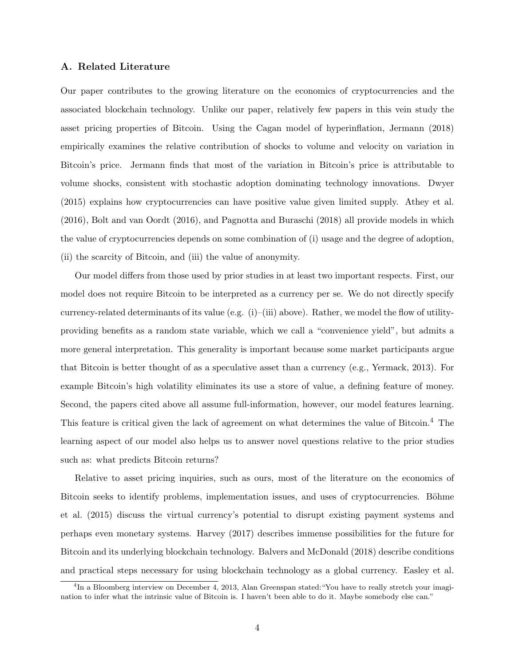### A. Related Literature

Our paper contributes to the growing literature on the economics of cryptocurrencies and the associated blockchain technology. Unlike our paper, relatively few papers in this vein study the asset pricing properties of Bitcoin. Using the Cagan model of hyperinflation, Jermann (2018) empirically examines the relative contribution of shocks to volume and velocity on variation in Bitcoin's price. Jermann finds that most of the variation in Bitcoin's price is attributable to volume shocks, consistent with stochastic adoption dominating technology innovations. Dwyer (2015) explains how cryptocurrencies can have positive value given limited supply. Athey et al. (2016), Bolt and van Oordt (2016), and Pagnotta and Buraschi (2018) all provide models in which the value of cryptocurrencies depends on some combination of (i) usage and the degree of adoption, (ii) the scarcity of Bitcoin, and (iii) the value of anonymity.

Our model differs from those used by prior studies in at least two important respects. First, our model does not require Bitcoin to be interpreted as a currency per se. We do not directly specify currency-related determinants of its value (e.g.  $(i)$ –(iii) above). Rather, we model the flow of utilityproviding benefits as a random state variable, which we call a "convenience yield", but admits a more general interpretation. This generality is important because some market participants argue that Bitcoin is better thought of as a speculative asset than a currency (e.g., Yermack, 2013). For example Bitcoin's high volatility eliminates its use a store of value, a defining feature of money. Second, the papers cited above all assume full-information, however, our model features learning. This feature is critical given the lack of agreement on what determines the value of Bitcoin.<sup>4</sup> The learning aspect of our model also helps us to answer novel questions relative to the prior studies such as: what predicts Bitcoin returns?

Relative to asset pricing inquiries, such as ours, most of the literature on the economics of Bitcoin seeks to identify problems, implementation issues, and uses of cryptocurrencies. Böhme et al. (2015) discuss the virtual currency's potential to disrupt existing payment systems and perhaps even monetary systems. Harvey (2017) describes immense possibilities for the future for Bitcoin and its underlying blockchain technology. Balvers and McDonald (2018) describe conditions and practical steps necessary for using blockchain technology as a global currency. Easley et al.

<sup>&</sup>lt;sup>4</sup>In a Bloomberg interview on December 4, 2013, Alan Greenspan stated: "You have to really stretch your imagination to infer what the intrinsic value of Bitcoin is. I haven't been able to do it. Maybe somebody else can."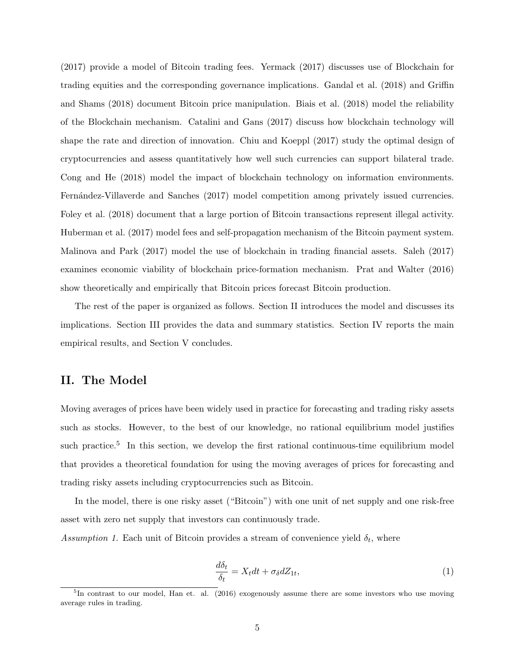(2017) provide a model of Bitcoin trading fees. Yermack (2017) discusses use of Blockchain for trading equities and the corresponding governance implications. Gandal et al. (2018) and Griffin and Shams (2018) document Bitcoin price manipulation. Biais et al. (2018) model the reliability of the Blockchain mechanism. Catalini and Gans (2017) discuss how blockchain technology will shape the rate and direction of innovation. Chiu and Koeppl (2017) study the optimal design of cryptocurrencies and assess quantitatively how well such currencies can support bilateral trade. Cong and He (2018) model the impact of blockchain technology on information environments. Fernández-Villaverde and Sanches (2017) model competition among privately issued currencies. Foley et al. (2018) document that a large portion of Bitcoin transactions represent illegal activity. Huberman et al. (2017) model fees and self-propagation mechanism of the Bitcoin payment system. Malinova and Park (2017) model the use of blockchain in trading financial assets. Saleh (2017) examines economic viability of blockchain price-formation mechanism. Prat and Walter (2016) show theoretically and empirically that Bitcoin prices forecast Bitcoin production.

The rest of the paper is organized as follows. Section II introduces the model and discusses its implications. Section III provides the data and summary statistics. Section IV reports the main empirical results, and Section V concludes.

# II. The Model

Moving averages of prices have been widely used in practice for forecasting and trading risky assets such as stocks. However, to the best of our knowledge, no rational equilibrium model justifies such practice.<sup>5</sup> In this section, we develop the first rational continuous-time equilibrium model that provides a theoretical foundation for using the moving averages of prices for forecasting and trading risky assets including cryptocurrencies such as Bitcoin.

In the model, there is one risky asset ("Bitcoin") with one unit of net supply and one risk-free asset with zero net supply that investors can continuously trade.

Assumption 1. Each unit of Bitcoin provides a stream of convenience yield  $\delta_t$ , where

$$
\frac{d\delta_t}{\delta_t} = X_t dt + \sigma_\delta dZ_{1t},\tag{1}
$$

<sup>&</sup>lt;sup>5</sup>In contrast to our model, Han et. al. (2016) exogenously assume there are some investors who use moving average rules in trading.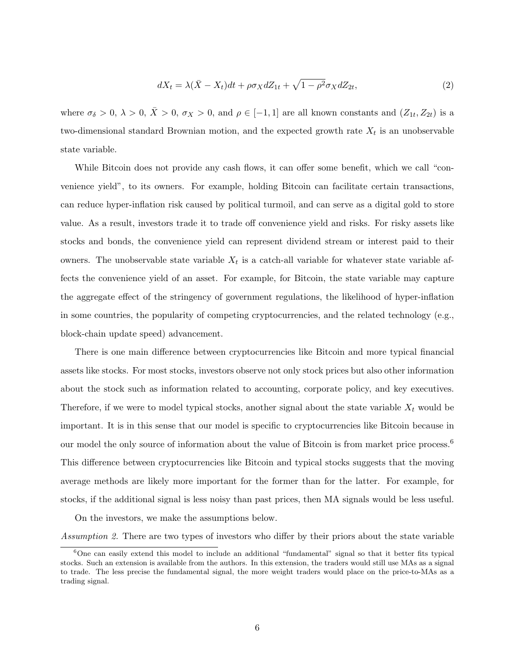$$
dX_t = \lambda(\bar{X} - X_t)dt + \rho \sigma_X dZ_{1t} + \sqrt{1 - \rho^2} \sigma_X dZ_{2t},\tag{2}
$$

where  $\sigma_{\delta} > 0$ ,  $\lambda > 0$ ,  $\bar{X} > 0$ ,  $\sigma_{X} > 0$ , and  $\rho \in [-1, 1]$  are all known constants and  $(Z_{1t}, Z_{2t})$  is a two-dimensional standard Brownian motion, and the expected growth rate  $X_t$  is an unobservable state variable.

While Bitcoin does not provide any cash flows, it can offer some benefit, which we call "convenience yield", to its owners. For example, holding Bitcoin can facilitate certain transactions, can reduce hyper-inflation risk caused by political turmoil, and can serve as a digital gold to store value. As a result, investors trade it to trade off convenience yield and risks. For risky assets like stocks and bonds, the convenience yield can represent dividend stream or interest paid to their owners. The unobservable state variable  $X_t$  is a catch-all variable for whatever state variable affects the convenience yield of an asset. For example, for Bitcoin, the state variable may capture the aggregate effect of the stringency of government regulations, the likelihood of hyper-inflation in some countries, the popularity of competing cryptocurrencies, and the related technology (e.g., block-chain update speed) advancement.

There is one main difference between cryptocurrencies like Bitcoin and more typical financial assets like stocks. For most stocks, investors observe not only stock prices but also other information about the stock such as information related to accounting, corporate policy, and key executives. Therefore, if we were to model typical stocks, another signal about the state variable  $X_t$  would be important. It is in this sense that our model is specific to cryptocurrencies like Bitcoin because in our model the only source of information about the value of Bitcoin is from market price process.<sup>6</sup> This difference between cryptocurrencies like Bitcoin and typical stocks suggests that the moving average methods are likely more important for the former than for the latter. For example, for stocks, if the additional signal is less noisy than past prices, then MA signals would be less useful.

On the investors, we make the assumptions below.

Assumption 2. There are two types of investors who differ by their priors about the state variable

<sup>6</sup>One can easily extend this model to include an additional "fundamental" signal so that it better fits typical stocks. Such an extension is available from the authors. In this extension, the traders would still use MAs as a signal to trade. The less precise the fundamental signal, the more weight traders would place on the price-to-MAs as a trading signal.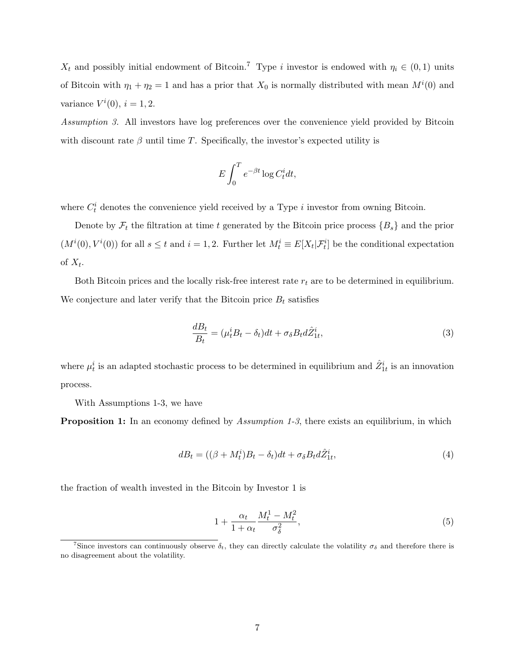$X_t$  and possibly initial endowment of Bitcoin.<sup>7</sup> Type i investor is endowed with  $\eta_i \in (0,1)$  units of Bitcoin with  $\eta_1 + \eta_2 = 1$  and has a prior that  $X_0$  is normally distributed with mean  $M^i(0)$  and variance  $V^i(0)$ ,  $i = 1, 2$ .

Assumption 3. All investors have log preferences over the convenience yield provided by Bitcoin with discount rate  $\beta$  until time T. Specifically, the investor's expected utility is

$$
E\int_0^T e^{-\beta t} \log C_t^i dt,
$$

where  $C_t^i$  denotes the convenience yield received by a Type i investor from owning Bitcoin.

Denote by  $\mathcal{F}_t$  the filtration at time t generated by the Bitcoin price process  $\{B_s\}$  and the prior  $(M^i(0), V^i(0))$  for all  $s \le t$  and  $i = 1, 2$ . Further let  $M_t^i \equiv E[X_t | \mathcal{F}_t^i]$  be the conditional expectation of  $X_t$ .

Both Bitcoin prices and the locally risk-free interest rate  $r_t$  are to be determined in equilibrium. We conjecture and later verify that the Bitcoin price  $B_t$  satisfies

$$
\frac{dB_t}{B_t} = (\mu_t^i B_t - \delta_t)dt + \sigma_\delta B_t d\hat{Z}_{1t}^i,\tag{3}
$$

where  $\mu_t^i$  is an adapted stochastic process to be determined in equilibrium and  $\hat{Z}_{1t}^i$  is an innovation process.

With Assumptions 1-3, we have

**Proposition 1:** In an economy defined by *Assumption 1-3*, there exists an equilibrium, in which

$$
dB_t = ((\beta + M_t^i)B_t - \delta_t)dt + \sigma_\delta B_t d\hat{Z}_{1t}^i,\tag{4}
$$

the fraction of wealth invested in the Bitcoin by Investor 1 is

$$
1 + \frac{\alpha_t}{1 + \alpha_t} \frac{M_t^1 - M_t^2}{\sigma_\delta^2},\tag{5}
$$

<sup>&</sup>lt;sup>7</sup>Since investors can continuously observe  $\delta_t$ , they can directly calculate the volatility  $\sigma_{\delta}$  and therefore there is no disagreement about the volatility.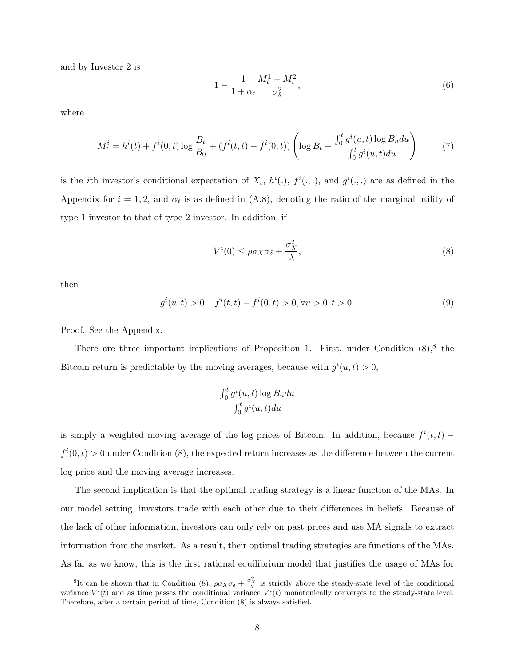and by Investor 2 is

$$
1 - \frac{1}{1 + \alpha_t} \frac{M_t^1 - M_t^2}{\sigma_\delta^2},\tag{6}
$$

where

$$
M_t^i = h^i(t) + f^i(0, t) \log \frac{B_t}{B_0} + (f^i(t, t) - f^i(0, t)) \left( \log B_t - \frac{\int_0^t g^i(u, t) \log B_u du}{\int_0^t g^i(u, t) du} \right)
$$
(7)

is the *i*th investor's conditional expectation of  $X_t$ ,  $h^i(.)$ ,  $f^i(.,.)$ , and  $g^i(.,.)$  are as defined in the Appendix for  $i = 1, 2$ , and  $\alpha_t$  is as defined in (A.8), denoting the ratio of the marginal utility of type 1 investor to that of type 2 investor. In addition, if

$$
V^{i}(0) \leq \rho \sigma_{X} \sigma_{\delta} + \frac{\sigma_{X}^{2}}{\lambda}, \qquad (8)
$$

then

$$
g^{i}(u,t) > 0, \quad f^{i}(t,t) - f^{i}(0,t) > 0, \forall u > 0, t > 0.
$$
\n(9)

Proof. See the Appendix.

There are three important implications of Proposition 1. First, under Condition  $(8)$ ,  $(8)$  the Bitcoin return is predictable by the moving averages, because with  $g^{i}(u, t) > 0$ ,

$$
\frac{\int_0^t g^i(u,t) \log B_u du}{\int_0^t g^i(u,t) du}
$$

is simply a weighted moving average of the log prices of Bitcoin. In addition, because  $f^{i}(t, t)$  –  $f^{i}(0,t) > 0$  under Condition (8), the expected return increases as the difference between the current log price and the moving average increases.

The second implication is that the optimal trading strategy is a linear function of the MAs. In our model setting, investors trade with each other due to their differences in beliefs. Because of the lack of other information, investors can only rely on past prices and use MA signals to extract information from the market. As a result, their optimal trading strategies are functions of the MAs. As far as we know, this is the first rational equilibrium model that justifies the usage of MAs for

<sup>&</sup>lt;sup>8</sup>It can be shown that in Condition (8),  $\rho \sigma_X \sigma_{\delta} + \frac{\sigma_X^2}{\lambda}$  is strictly above the steady-state level of the conditional variance  $V^i(t)$  and as time passes the conditional variance  $V^i(t)$  monotonically converges to the steady-state level. Therefore, after a certain period of time, Condition (8) is always satisfied.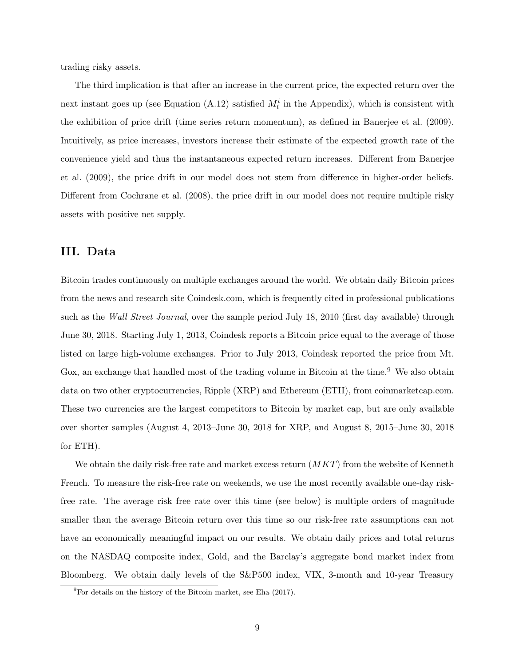trading risky assets.

The third implication is that after an increase in the current price, the expected return over the next instant goes up (see Equation (A.12) satisfied  $M_t^i$  in the Appendix), which is consistent with the exhibition of price drift (time series return momentum), as defined in Banerjee et al. (2009). Intuitively, as price increases, investors increase their estimate of the expected growth rate of the convenience yield and thus the instantaneous expected return increases. Different from Banerjee et al. (2009), the price drift in our model does not stem from difference in higher-order beliefs. Different from Cochrane et al. (2008), the price drift in our model does not require multiple risky assets with positive net supply.

### III. Data

Bitcoin trades continuously on multiple exchanges around the world. We obtain daily Bitcoin prices from the news and research site Coindesk.com, which is frequently cited in professional publications such as the *Wall Street Journal*, over the sample period July 18, 2010 (first day available) through June 30, 2018. Starting July 1, 2013, Coindesk reports a Bitcoin price equal to the average of those listed on large high-volume exchanges. Prior to July 2013, Coindesk reported the price from Mt. Gox, an exchange that handled most of the trading volume in Bitcoin at the time.<sup>9</sup> We also obtain data on two other cryptocurrencies, Ripple (XRP) and Ethereum (ETH), from coinmarketcap.com. These two currencies are the largest competitors to Bitcoin by market cap, but are only available over shorter samples (August 4, 2013–June 30, 2018 for XRP, and August 8, 2015–June 30, 2018 for ETH).

We obtain the daily risk-free rate and market excess return  $(MKT)$  from the website of Kenneth French. To measure the risk-free rate on weekends, we use the most recently available one-day riskfree rate. The average risk free rate over this time (see below) is multiple orders of magnitude smaller than the average Bitcoin return over this time so our risk-free rate assumptions can not have an economically meaningful impact on our results. We obtain daily prices and total returns on the NASDAQ composite index, Gold, and the Barclay's aggregate bond market index from Bloomberg. We obtain daily levels of the S&P500 index, VIX, 3-month and 10-year Treasury

 ${}^{9}$ For details on the history of the Bitcoin market, see Eha (2017).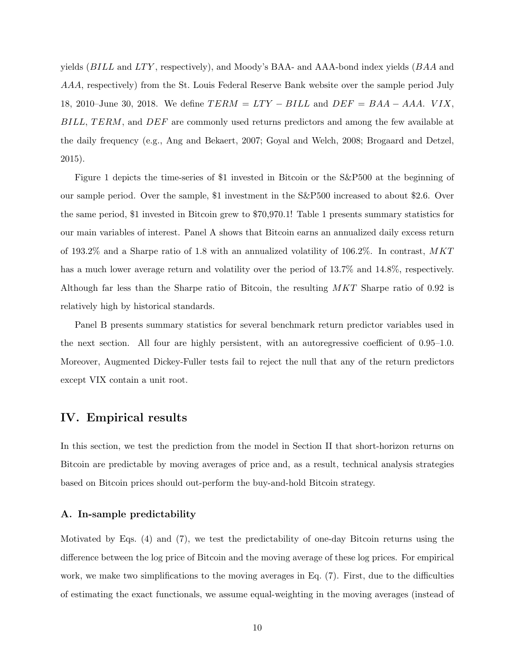yields  $(BILL)$  and  $LTY$ , respectively), and Moody's BAA- and AAA-bond index yields  $(BAA)$  and AAA, respectively) from the St. Louis Federal Reserve Bank website over the sample period July 18, 2010–June 30, 2018. We define  $TERM = LTY - BILL$  and  $DEF = BAA - AAA$ . VIX, BILL, TERM, and DEF are commonly used returns predictors and among the few available at the daily frequency (e.g., Ang and Bekaert, 2007; Goyal and Welch, 2008; Brogaard and Detzel, 2015).

Figure 1 depicts the time-series of \$1 invested in Bitcoin or the S&P500 at the beginning of our sample period. Over the sample, \$1 investment in the S&P500 increased to about \$2.6. Over the same period, \$1 invested in Bitcoin grew to \$70,970.1! Table 1 presents summary statistics for our main variables of interest. Panel A shows that Bitcoin earns an annualized daily excess return of 193.2% and a Sharpe ratio of 1.8 with an annualized volatility of 106.2%. In contrast, MKT has a much lower average return and volatility over the period of 13.7% and 14.8%, respectively. Although far less than the Sharpe ratio of Bitcoin, the resulting MKT Sharpe ratio of 0.92 is relatively high by historical standards.

Panel B presents summary statistics for several benchmark return predictor variables used in the next section. All four are highly persistent, with an autoregressive coefficient of 0.95–1.0. Moreover, Augmented Dickey-Fuller tests fail to reject the null that any of the return predictors except VIX contain a unit root.

### IV. Empirical results

In this section, we test the prediction from the model in Section II that short-horizon returns on Bitcoin are predictable by moving averages of price and, as a result, technical analysis strategies based on Bitcoin prices should out-perform the buy-and-hold Bitcoin strategy.

#### A. In-sample predictability

Motivated by Eqs. (4) and (7), we test the predictability of one-day Bitcoin returns using the difference between the log price of Bitcoin and the moving average of these log prices. For empirical work, we make two simplifications to the moving averages in Eq. (7). First, due to the difficulties of estimating the exact functionals, we assume equal-weighting in the moving averages (instead of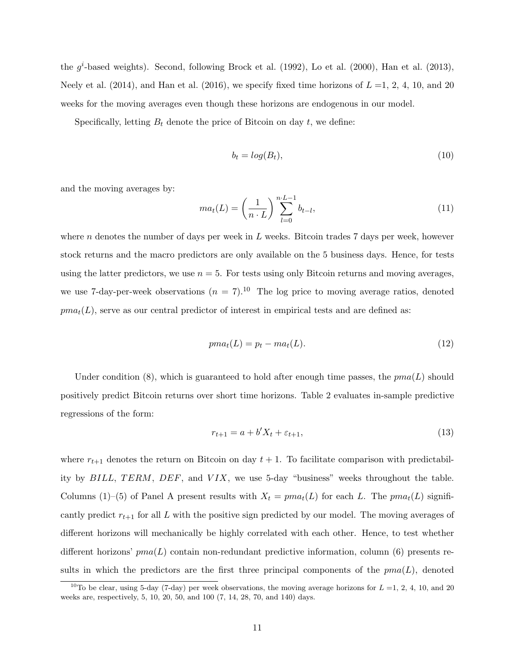the  $g^i$ -based weights). Second, following Brock et al. (1992), Lo et al. (2000), Han et al. (2013), Neely et al. (2014), and Han et al. (2016), we specify fixed time horizons of  $L = 1, 2, 4, 10$ , and 20 weeks for the moving averages even though these horizons are endogenous in our model.

Specifically, letting  $B_t$  denote the price of Bitcoin on day  $t$ , we define:

$$
b_t = \log(B_t),\tag{10}
$$

and the moving averages by:

$$
ma_t(L) = \left(\frac{1}{n \cdot L}\right) \sum_{l=0}^{n \cdot L-1} b_{t-l},
$$
\n(11)

where n denotes the number of days per week in  $L$  weeks. Bitcoin trades 7 days per week, however stock returns and the macro predictors are only available on the 5 business days. Hence, for tests using the latter predictors, we use  $n = 5$ . For tests using only Bitcoin returns and moving averages, we use 7-day-per-week observations ( $n = 7$ ).<sup>10</sup> The log price to moving average ratios, denoted  $pma_t(L)$ , serve as our central predictor of interest in empirical tests and are defined as:

$$
pma_t(L) = p_t - ma_t(L). \tag{12}
$$

Under condition (8), which is guaranteed to hold after enough time passes, the  $pma(L)$  should positively predict Bitcoin returns over short time horizons. Table 2 evaluates in-sample predictive regressions of the form:

$$
r_{t+1} = a + b'X_t + \varepsilon_{t+1},
$$
\n(13)

where  $r_{t+1}$  denotes the return on Bitcoin on day  $t + 1$ . To facilitate comparison with predictability by  $BILL$ ,  $TERM$ ,  $DEF$ , and  $VIX$ , we use 5-day "business" weeks throughout the table. Columns (1)–(5) of Panel A present results with  $X_t = pma_t(L)$  for each L. The  $pma_t(L)$  significantly predict  $r_{t+1}$  for all L with the positive sign predicted by our model. The moving averages of different horizons will mechanically be highly correlated with each other. Hence, to test whether different horizons'  $pma(L)$  contain non-redundant predictive information, column (6) presents results in which the predictors are the first three principal components of the  $pma(L)$ , denoted

<sup>&</sup>lt;sup>10</sup>To be clear, using 5-day (7-day) per week observations, the moving average horizons for  $L = 1, 2, 4, 10,$  and 20 weeks are, respectively, 5, 10, 20, 50, and 100 (7, 14, 28, 70, and 140) days.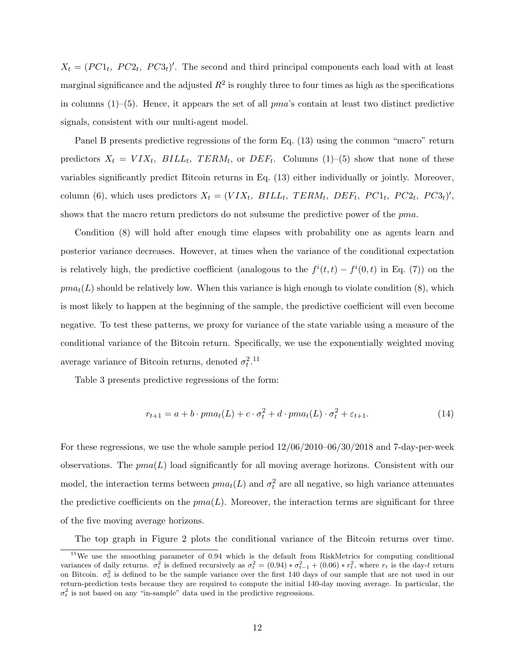$X_t = (PC1_t, PC2_t, PC3_t)'$ . The second and third principal components each load with at least marginal significance and the adjusted  $R^2$  is roughly three to four times as high as the specifications in columns  $(1)$ – $(5)$ . Hence, it appears the set of all  $pma$ 's contain at least two distinct predictive signals, consistent with our multi-agent model.

Panel B presents predictive regressions of the form Eq. (13) using the common "macro" return predictors  $X_t = VIX_t$ ,  $BILL_t$ ,  $TERM_t$ , or  $DEF_t$ . Columns (1)–(5) show that none of these variables significantly predict Bitcoin returns in Eq. (13) either individually or jointly. Moreover, column (6), which uses predictors  $X_t = (VIX_t, BILL_t, TERM_t, DEF_t, PC1_t, PC2_t, PC3_t)'$ , shows that the macro return predictors do not subsume the predictive power of the *pma*.

Condition (8) will hold after enough time elapses with probability one as agents learn and posterior variance decreases. However, at times when the variance of the conditional expectation is relatively high, the predictive coefficient (analogous to the  $f^{i}(t, t) - f^{i}(0, t)$  in Eq. (7)) on the  $pma_t(L)$  should be relatively low. When this variance is high enough to violate condition (8), which is most likely to happen at the beginning of the sample, the predictive coefficient will even become negative. To test these patterns, we proxy for variance of the state variable using a measure of the conditional variance of the Bitcoin return. Specifically, we use the exponentially weighted moving average variance of Bitcoin returns, denoted  $\sigma_t^2$ .<sup>11</sup>

Table 3 presents predictive regressions of the form:

$$
r_{t+1} = a + b \cdot pma_t(L) + c \cdot \sigma_t^2 + d \cdot pma_t(L) \cdot \sigma_t^2 + \varepsilon_{t+1}.
$$
\n
$$
(14)
$$

For these regressions, we use the whole sample period 12/06/2010–06/30/2018 and 7-day-per-week observations. The  $pma(L)$  load significantly for all moving average horizons. Consistent with our model, the interaction terms between  $pma_t(L)$  and  $\sigma_t^2$  are all negative, so high variance attenuates the predictive coefficients on the  $pma(L)$ . Moreover, the interaction terms are significant for three of the five moving average horizons.

The top graph in Figure 2 plots the conditional variance of the Bitcoin returns over time.

<sup>&</sup>lt;sup>11</sup>We use the smoothing parameter of  $0.94$  which is the default from RiskMetrics for computing conditional variances of daily returns.  $\sigma_t^2$  is defined recursively as  $\sigma_t^2 = (0.94) * \sigma_{t-1}^2 + (0.06) * r_t^2$ , where  $r_t$  is the day-t return on Bitcoin.  $\sigma_0^2$  is defined to be the sample variance over the first 140 days of our sample that are not used in our return-prediction tests because they are required to compute the initial 140-day moving average. In particular, the  $\sigma_t^2$  is not based on any "in-sample" data used in the predictive regressions.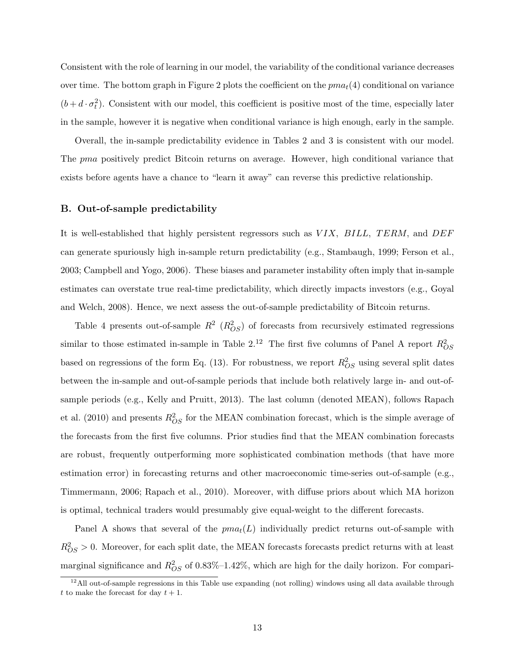Consistent with the role of learning in our model, the variability of the conditional variance decreases over time. The bottom graph in Figure 2 plots the coefficient on the  $pma_t(4)$  conditional on variance  $(b+d\cdot\sigma_t^2)$ . Consistent with our model, this coefficient is positive most of the time, especially later in the sample, however it is negative when conditional variance is high enough, early in the sample.

Overall, the in-sample predictability evidence in Tables 2 and 3 is consistent with our model. The pma positively predict Bitcoin returns on average. However, high conditional variance that exists before agents have a chance to "learn it away" can reverse this predictive relationship.

#### B. Out-of-sample predictability

It is well-established that highly persistent regressors such as  $VIX$ ,  $BILL$ ,  $TERM$ , and  $DEF$ can generate spuriously high in-sample return predictability (e.g., Stambaugh, 1999; Ferson et al., 2003; Campbell and Yogo, 2006). These biases and parameter instability often imply that in-sample estimates can overstate true real-time predictability, which directly impacts investors (e.g., Goyal and Welch, 2008). Hence, we next assess the out-of-sample predictability of Bitcoin returns.

Table 4 presents out-of-sample  $R^2$   $(R_{OS}^2)$  of forecasts from recursively estimated regressions similar to those estimated in-sample in Table 2.<sup>12</sup> The first five columns of Panel A report  $R_{OS}^2$ based on regressions of the form Eq. (13). For robustness, we report  $R_{OS}^2$  using several split dates between the in-sample and out-of-sample periods that include both relatively large in- and out-ofsample periods (e.g., Kelly and Pruitt, 2013). The last column (denoted MEAN), follows Rapach et al. (2010) and presents  $R_{OS}^2$  for the MEAN combination forecast, which is the simple average of the forecasts from the first five columns. Prior studies find that the MEAN combination forecasts are robust, frequently outperforming more sophisticated combination methods (that have more estimation error) in forecasting returns and other macroeconomic time-series out-of-sample (e.g., Timmermann, 2006; Rapach et al., 2010). Moreover, with diffuse priors about which MA horizon is optimal, technical traders would presumably give equal-weight to the different forecasts.

Panel A shows that several of the  $pma_t(L)$  individually predict returns out-of-sample with  $R_{OS}^2 > 0$ . Moreover, for each split date, the MEAN forecasts forecasts predict returns with at least marginal significance and  $R_{OS}^2$  of 0.83%–1.42%, which are high for the daily horizon. For compari-

 $12$ All out-of-sample regressions in this Table use expanding (not rolling) windows using all data available through t to make the forecast for day  $t + 1$ .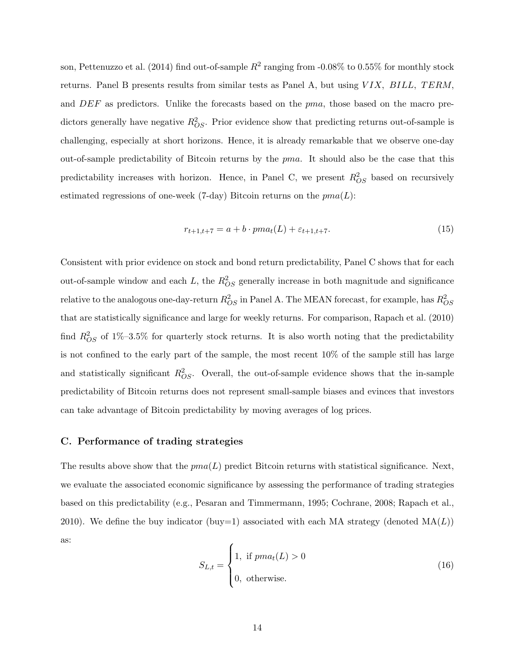son, Pettenuzzo et al. (2014) find out-of-sample  $R^2$  ranging from -0.08% to 0.55% for monthly stock returns. Panel B presents results from similar tests as Panel A, but using  $VIX$ ,  $BILL$ ,  $TERM$ . and DEF as predictors. Unlike the forecasts based on the pma, those based on the macro predictors generally have negative  $R_{OS}^2$ . Prior evidence show that predicting returns out-of-sample is challenging, especially at short horizons. Hence, it is already remarkable that we observe one-day out-of-sample predictability of Bitcoin returns by the pma. It should also be the case that this predictability increases with horizon. Hence, in Panel C, we present  $R_{OS}^2$  based on recursively estimated regressions of one-week (7-day) Bitcoin returns on the  $pma(L)$ :

$$
r_{t+1,t+7} = a + b \cdot pma_t(L) + \varepsilon_{t+1,t+7}.\tag{15}
$$

Consistent with prior evidence on stock and bond return predictability, Panel C shows that for each out-of-sample window and each L, the  $R_{OS}^2$  generally increase in both magnitude and significance relative to the analogous one-day-return  $R_{OS}^2$  in Panel A. The MEAN forecast, for example, has  $R_{OS}^2$ that are statistically significance and large for weekly returns. For comparison, Rapach et al. (2010) find  $R_{OS}^2$  of 1%–3.5% for quarterly stock returns. It is also worth noting that the predictability is not confined to the early part of the sample, the most recent 10% of the sample still has large and statistically significant  $R_{OS}^2$ . Overall, the out-of-sample evidence shows that the in-sample predictability of Bitcoin returns does not represent small-sample biases and evinces that investors can take advantage of Bitcoin predictability by moving averages of log prices.

### C. Performance of trading strategies

The results above show that the  $pma(L)$  predict Bitcoin returns with statistical significance. Next, we evaluate the associated economic significance by assessing the performance of trading strategies based on this predictability (e.g., Pesaran and Timmermann, 1995; Cochrane, 2008; Rapach et al., 2010). We define the buy indicator (buy=1) associated with each MA strategy (denoted  $MA(L)$ ) as:

$$
S_{L,t} = \begin{cases} 1, & \text{if } pma_t(L) > 0 \\ 0, & \text{otherwise.} \end{cases}
$$
 (16)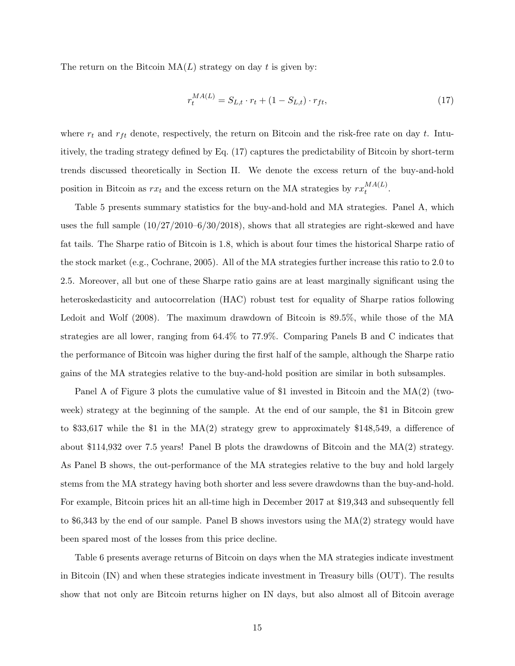The return on the Bitcoin  $MA(L)$  strategy on day t is given by:

$$
r_t^{MA(L)} = S_{L,t} \cdot r_t + (1 - S_{L,t}) \cdot r_{ft},\tag{17}
$$

where  $r_t$  and  $r_{ft}$  denote, respectively, the return on Bitcoin and the risk-free rate on day t. Intuitively, the trading strategy defined by Eq. (17) captures the predictability of Bitcoin by short-term trends discussed theoretically in Section II. We denote the excess return of the buy-and-hold position in Bitcoin as  $rx_t$  and the excess return on the MA strategies by  $rx_t^{MA(L)}$  $\frac{M}{t}$ .

Table 5 presents summary statistics for the buy-and-hold and MA strategies. Panel A, which uses the full sample (10/27/2010–6/30/2018), shows that all strategies are right-skewed and have fat tails. The Sharpe ratio of Bitcoin is 1.8, which is about four times the historical Sharpe ratio of the stock market (e.g., Cochrane, 2005). All of the MA strategies further increase this ratio to 2.0 to 2.5. Moreover, all but one of these Sharpe ratio gains are at least marginally significant using the heteroskedasticity and autocorrelation (HAC) robust test for equality of Sharpe ratios following Ledoit and Wolf (2008). The maximum drawdown of Bitcoin is 89.5%, while those of the MA strategies are all lower, ranging from 64.4% to 77.9%. Comparing Panels B and C indicates that the performance of Bitcoin was higher during the first half of the sample, although the Sharpe ratio gains of the MA strategies relative to the buy-and-hold position are similar in both subsamples.

Panel A of Figure 3 plots the cumulative value of \$1 invested in Bitcoin and the MA(2) (twoweek) strategy at the beginning of the sample. At the end of our sample, the \$1 in Bitcoin grew to \$33,617 while the \$1 in the MA(2) strategy grew to approximately \$148,549, a difference of about \$114,932 over 7.5 years! Panel B plots the drawdowns of Bitcoin and the  $MA(2)$  strategy. As Panel B shows, the out-performance of the MA strategies relative to the buy and hold largely stems from the MA strategy having both shorter and less severe drawdowns than the buy-and-hold. For example, Bitcoin prices hit an all-time high in December 2017 at \$19,343 and subsequently fell to \$6,343 by the end of our sample. Panel B shows investors using the MA(2) strategy would have been spared most of the losses from this price decline.

Table 6 presents average returns of Bitcoin on days when the MA strategies indicate investment in Bitcoin (IN) and when these strategies indicate investment in Treasury bills (OUT). The results show that not only are Bitcoin returns higher on IN days, but also almost all of Bitcoin average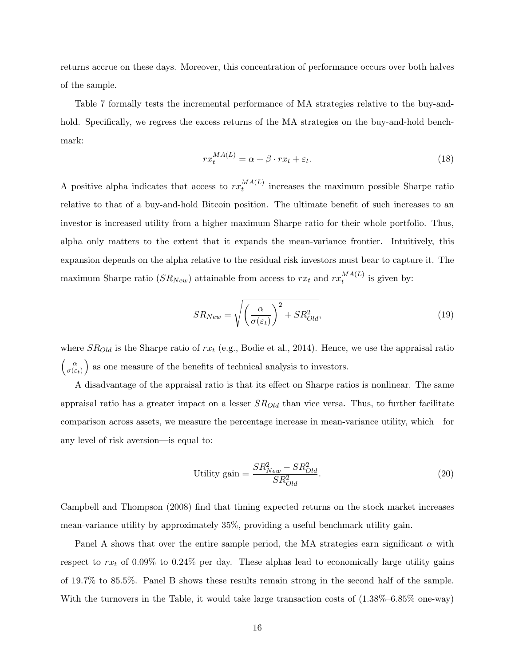returns accrue on these days. Moreover, this concentration of performance occurs over both halves of the sample.

Table 7 formally tests the incremental performance of MA strategies relative to the buy-andhold. Specifically, we regress the excess returns of the MA strategies on the buy-and-hold benchmark:

$$
rx_t^{MA(L)} = \alpha + \beta \cdot rx_t + \varepsilon_t.
$$
\n(18)

A positive alpha indicates that access to  $rx_t^{MA(L)}$  $t_t^{MA(L)}$  increases the maximum possible Sharpe ratio relative to that of a buy-and-hold Bitcoin position. The ultimate benefit of such increases to an investor is increased utility from a higher maximum Sharpe ratio for their whole portfolio. Thus, alpha only matters to the extent that it expands the mean-variance frontier. Intuitively, this expansion depends on the alpha relative to the residual risk investors must bear to capture it. The maximum Sharpe ratio  $(SR_{New})$  attainable from access to  $rx_t$  and  $rx_t^{MA(L)}$  $t^{W_A(L)}$  is given by:

$$
SR_{New} = \sqrt{\left(\frac{\alpha}{\sigma(\varepsilon_t)}\right)^2 + SR_{Old}^2},\tag{19}
$$

where  $SR_{Old}$  is the Sharpe ratio of  $rx_t$  (e.g., Bodie et al., 2014). Hence, we use the appraisal ratio  $\sqrt{\alpha}$  $\sigma(\varepsilon_t)$ as one measure of the benefits of technical analysis to investors.

A disadvantage of the appraisal ratio is that its effect on Sharpe ratios is nonlinear. The same appraisal ratio has a greater impact on a lesser  $SR_{Old}$  than vice versa. Thus, to further facilitate comparison across assets, we measure the percentage increase in mean-variance utility, which—for any level of risk aversion—is equal to:

$$
\text{Utility gain} = \frac{SR_{New}^2 - SR_{Old}^2}{SR_{Old}^2}.\tag{20}
$$

Campbell and Thompson (2008) find that timing expected returns on the stock market increases mean-variance utility by approximately 35%, providing a useful benchmark utility gain.

Panel A shows that over the entire sample period, the MA strategies earn significant  $\alpha$  with respect to  $rx_t$  of 0.09% to 0.24% per day. These alphas lead to economically large utility gains of 19.7% to 85.5%. Panel B shows these results remain strong in the second half of the sample. With the turnovers in the Table, it would take large transaction costs of  $(1.38\% - 6.85\%$  one-way)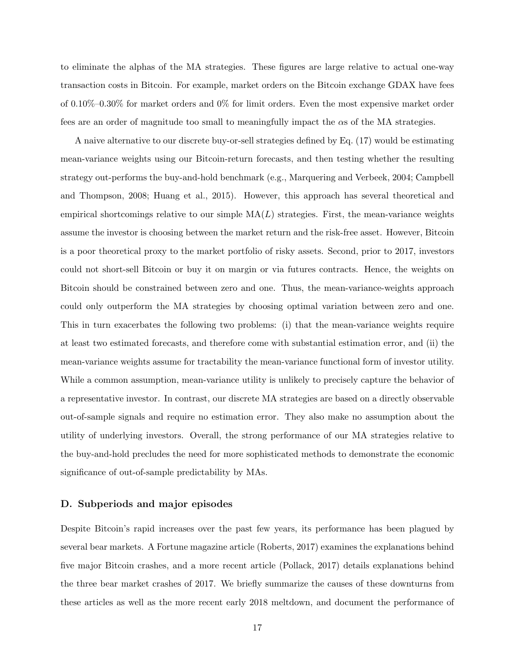to eliminate the alphas of the MA strategies. These figures are large relative to actual one-way transaction costs in Bitcoin. For example, market orders on the Bitcoin exchange GDAX have fees of 0.10%–0.30% for market orders and 0% for limit orders. Even the most expensive market order fees are an order of magnitude too small to meaningfully impact the αs of the MA strategies.

A naive alternative to our discrete buy-or-sell strategies defined by Eq. (17) would be estimating mean-variance weights using our Bitcoin-return forecasts, and then testing whether the resulting strategy out-performs the buy-and-hold benchmark (e.g., Marquering and Verbeek, 2004; Campbell and Thompson, 2008; Huang et al., 2015). However, this approach has several theoretical and empirical shortcomings relative to our simple  $MA(L)$  strategies. First, the mean-variance weights assume the investor is choosing between the market return and the risk-free asset. However, Bitcoin is a poor theoretical proxy to the market portfolio of risky assets. Second, prior to 2017, investors could not short-sell Bitcoin or buy it on margin or via futures contracts. Hence, the weights on Bitcoin should be constrained between zero and one. Thus, the mean-variance-weights approach could only outperform the MA strategies by choosing optimal variation between zero and one. This in turn exacerbates the following two problems: (i) that the mean-variance weights require at least two estimated forecasts, and therefore come with substantial estimation error, and (ii) the mean-variance weights assume for tractability the mean-variance functional form of investor utility. While a common assumption, mean-variance utility is unlikely to precisely capture the behavior of a representative investor. In contrast, our discrete MA strategies are based on a directly observable out-of-sample signals and require no estimation error. They also make no assumption about the utility of underlying investors. Overall, the strong performance of our MA strategies relative to the buy-and-hold precludes the need for more sophisticated methods to demonstrate the economic significance of out-of-sample predictability by MAs.

### D. Subperiods and major episodes

Despite Bitcoin's rapid increases over the past few years, its performance has been plagued by several bear markets. A Fortune magazine article (Roberts, 2017) examines the explanations behind five major Bitcoin crashes, and a more recent article (Pollack, 2017) details explanations behind the three bear market crashes of 2017. We briefly summarize the causes of these downturns from these articles as well as the more recent early 2018 meltdown, and document the performance of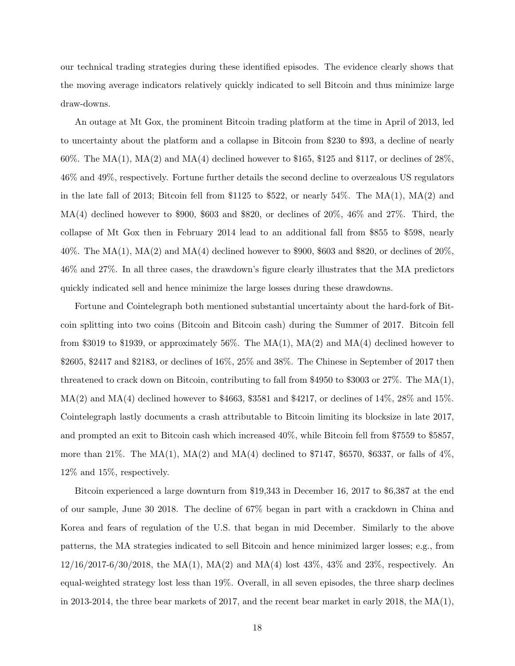our technical trading strategies during these identified episodes. The evidence clearly shows that the moving average indicators relatively quickly indicated to sell Bitcoin and thus minimize large draw-downs.

An outage at Mt Gox, the prominent Bitcoin trading platform at the time in April of 2013, led to uncertainty about the platform and a collapse in Bitcoin from \$230 to \$93, a decline of nearly 60%. The MA(1), MA(2) and MA(4) declined however to \$165, \$125 and \$117, or declines of  $28\%$ . 46% and 49%, respectively. Fortune further details the second decline to overzealous US regulators in the late fall of 2013; Bitcoin fell from \$1125 to \$522, or nearly 54%. The  $MA(1)$ ,  $MA(2)$  and  $MA(4)$  declined however to \$900, \$603 and \$820, or declines of 20%, 46% and 27%. Third, the collapse of Mt Gox then in February 2014 lead to an additional fall from \$855 to \$598, nearly 40%. The MA(1), MA(2) and MA(4) declined however to \$900, \$603 and \$820, or declines of  $20\%$ , 46% and 27%. In all three cases, the drawdown's figure clearly illustrates that the MA predictors quickly indicated sell and hence minimize the large losses during these drawdowns.

Fortune and Cointelegraph both mentioned substantial uncertainty about the hard-fork of Bitcoin splitting into two coins (Bitcoin and Bitcoin cash) during the Summer of 2017. Bitcoin fell from \$3019 to \$1939, or approximately 56%. The  $MA(1)$ ,  $MA(2)$  and  $MA(4)$  declined however to \$2605, \$2417 and \$2183, or declines of 16%, 25% and 38%. The Chinese in September of 2017 then threatened to crack down on Bitcoin, contributing to fall from \$4950 to \$3003 or 27%. The MA(1), MA(2) and MA(4) declined however to \$4663, \$3581 and \$4217, or declines of 14%, 28% and 15%. Cointelegraph lastly documents a crash attributable to Bitcoin limiting its blocksize in late 2017, and prompted an exit to Bitcoin cash which increased 40%, while Bitcoin fell from \$7559 to \$5857, more than 21%. The MA(1), MA(2) and MA(4) declined to \$7147, \$6570, \$6337, or falls of  $4\%$ . 12% and 15%, respectively.

Bitcoin experienced a large downturn from \$19,343 in December 16, 2017 to \$6,387 at the end of our sample, June 30 2018. The decline of 67% began in part with a crackdown in China and Korea and fears of regulation of the U.S. that began in mid December. Similarly to the above patterns, the MA strategies indicated to sell Bitcoin and hence minimized larger losses; e.g., from 12/16/2017-6/30/2018, the MA(1), MA(2) and MA(4) lost 43%, 43% and 23%, respectively. An equal-weighted strategy lost less than 19%. Overall, in all seven episodes, the three sharp declines in 2013-2014, the three bear markets of 2017, and the recent bear market in early 2018, the  $MA(1)$ ,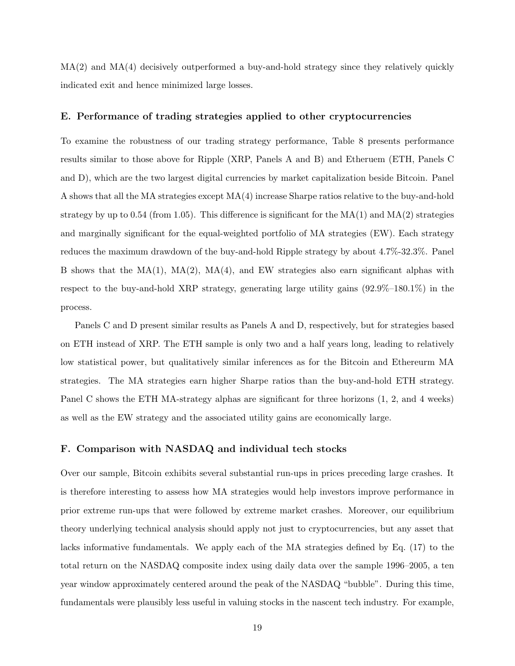$MA(2)$  and  $MA(4)$  decisively outperformed a buy-and-hold strategy since they relatively quickly indicated exit and hence minimized large losses.

#### E. Performance of trading strategies applied to other cryptocurrencies

To examine the robustness of our trading strategy performance, Table 8 presents performance results similar to those above for Ripple (XRP, Panels A and B) and Etheruem (ETH, Panels C and D), which are the two largest digital currencies by market capitalization beside Bitcoin. Panel A shows that all the MA strategies except MA(4) increase Sharpe ratios relative to the buy-and-hold strategy by up to 0.54 (from 1.05). This difference is significant for the  $MA(1)$  and  $MA(2)$  strategies and marginally significant for the equal-weighted portfolio of MA strategies (EW). Each strategy reduces the maximum drawdown of the buy-and-hold Ripple strategy by about 4.7%-32.3%. Panel B shows that the  $MA(1)$ ,  $MA(2)$ ,  $MA(4)$ , and EW strategies also earn significant alphas with respect to the buy-and-hold XRP strategy, generating large utility gains (92.9%–180.1%) in the process.

Panels C and D present similar results as Panels A and D, respectively, but for strategies based on ETH instead of XRP. The ETH sample is only two and a half years long, leading to relatively low statistical power, but qualitatively similar inferences as for the Bitcoin and Ethereurm MA strategies. The MA strategies earn higher Sharpe ratios than the buy-and-hold ETH strategy. Panel C shows the ETH MA-strategy alphas are significant for three horizons  $(1, 2, \text{ and } 4 \text{ weeks})$ as well as the EW strategy and the associated utility gains are economically large.

### F. Comparison with NASDAQ and individual tech stocks

Over our sample, Bitcoin exhibits several substantial run-ups in prices preceding large crashes. It is therefore interesting to assess how MA strategies would help investors improve performance in prior extreme run-ups that were followed by extreme market crashes. Moreover, our equilibrium theory underlying technical analysis should apply not just to cryptocurrencies, but any asset that lacks informative fundamentals. We apply each of the MA strategies defined by Eq. (17) to the total return on the NASDAQ composite index using daily data over the sample 1996–2005, a ten year window approximately centered around the peak of the NASDAQ "bubble". During this time, fundamentals were plausibly less useful in valuing stocks in the nascent tech industry. For example,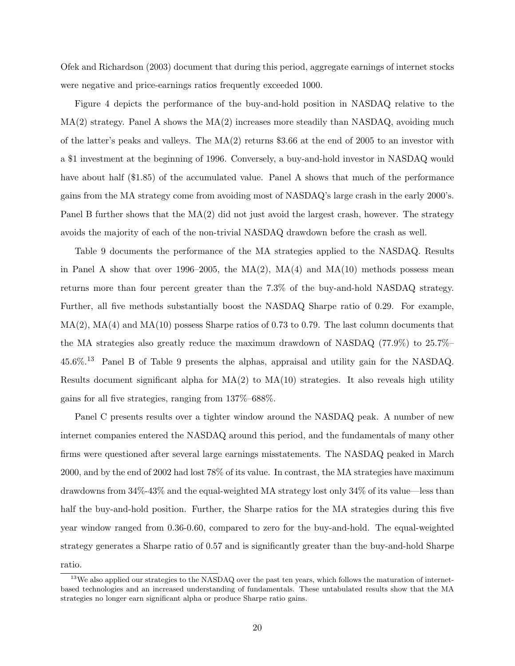Ofek and Richardson (2003) document that during this period, aggregate earnings of internet stocks were negative and price-earnings ratios frequently exceeded 1000.

Figure 4 depicts the performance of the buy-and-hold position in NASDAQ relative to the  $MA(2)$  strategy. Panel A shows the  $MA(2)$  increases more steadily than NASDAQ, avoiding much of the latter's peaks and valleys. The MA(2) returns \$3.66 at the end of 2005 to an investor with a \$1 investment at the beginning of 1996. Conversely, a buy-and-hold investor in NASDAQ would have about half (\$1.85) of the accumulated value. Panel A shows that much of the performance gains from the MA strategy come from avoiding most of NASDAQ's large crash in the early 2000's. Panel B further shows that the  $MA(2)$  did not just avoid the largest crash, however. The strategy avoids the majority of each of the non-trivial NASDAQ drawdown before the crash as well.

Table 9 documents the performance of the MA strategies applied to the NASDAQ. Results in Panel A show that over 1996–2005, the  $MA(2)$ ,  $MA(4)$  and  $MA(10)$  methods possess mean returns more than four percent greater than the 7.3% of the buy-and-hold NASDAQ strategy. Further, all five methods substantially boost the NASDAQ Sharpe ratio of 0.29. For example,  $MA(2)$ ,  $MA(4)$  and  $MA(10)$  possess Sharpe ratios of 0.73 to 0.79. The last column documents that the MA strategies also greatly reduce the maximum drawdown of NASDAQ (77.9%) to 25.7%– 45.6%.<sup>13</sup> Panel B of Table 9 presents the alphas, appraisal and utility gain for the NASDAQ. Results document significant alpha for  $MA(2)$  to  $MA(10)$  strategies. It also reveals high utility gains for all five strategies, ranging from 137%–688%.

Panel C presents results over a tighter window around the NASDAQ peak. A number of new internet companies entered the NASDAQ around this period, and the fundamentals of many other firms were questioned after several large earnings misstatements. The NASDAQ peaked in March 2000, and by the end of 2002 had lost 78% of its value. In contrast, the MA strategies have maximum drawdowns from 34%-43% and the equal-weighted MA strategy lost only 34% of its value—less than half the buy-and-hold position. Further, the Sharpe ratios for the MA strategies during this five year window ranged from 0.36-0.60, compared to zero for the buy-and-hold. The equal-weighted strategy generates a Sharpe ratio of 0.57 and is significantly greater than the buy-and-hold Sharpe ratio.

<sup>&</sup>lt;sup>13</sup>We also applied our strategies to the NASDAQ over the past ten years, which follows the maturation of internetbased technologies and an increased understanding of fundamentals. These untabulated results show that the MA strategies no longer earn significant alpha or produce Sharpe ratio gains.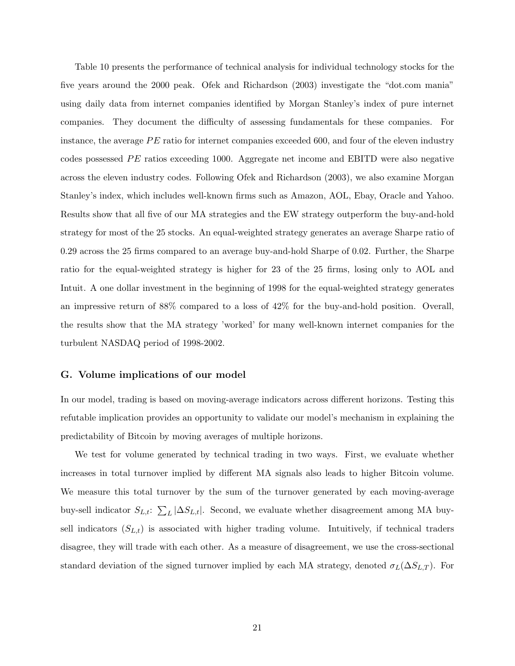Table 10 presents the performance of technical analysis for individual technology stocks for the five years around the 2000 peak. Ofek and Richardson (2003) investigate the "dot.com mania" using daily data from internet companies identified by Morgan Stanley's index of pure internet companies. They document the difficulty of assessing fundamentals for these companies. For instance, the average  $PE$  ratio for internet companies exceeded 600, and four of the eleven industry codes possessed  $PE$  ratios exceeding 1000. Aggregate net income and EBITD were also negative across the eleven industry codes. Following Ofek and Richardson (2003), we also examine Morgan Stanley's index, which includes well-known firms such as Amazon, AOL, Ebay, Oracle and Yahoo. Results show that all five of our MA strategies and the EW strategy outperform the buy-and-hold strategy for most of the 25 stocks. An equal-weighted strategy generates an average Sharpe ratio of 0.29 across the 25 firms compared to an average buy-and-hold Sharpe of 0.02. Further, the Sharpe ratio for the equal-weighted strategy is higher for 23 of the 25 firms, losing only to AOL and Intuit. A one dollar investment in the beginning of 1998 for the equal-weighted strategy generates an impressive return of 88% compared to a loss of 42% for the buy-and-hold position. Overall, the results show that the MA strategy 'worked' for many well-known internet companies for the turbulent NASDAQ period of 1998-2002.

#### G. Volume implications of our model

In our model, trading is based on moving-average indicators across different horizons. Testing this refutable implication provides an opportunity to validate our model's mechanism in explaining the predictability of Bitcoin by moving averages of multiple horizons.

We test for volume generated by technical trading in two ways. First, we evaluate whether increases in total turnover implied by different MA signals also leads to higher Bitcoin volume. We measure this total turnover by the sum of the turnover generated by each moving-average buy-sell indicator  $S_{L,t}$ :  $\sum_{L} |\Delta S_{L,t}|$ . Second, we evaluate whether disagreement among MA buysell indicators  $(S_{L,t})$  is associated with higher trading volume. Intuitively, if technical traders disagree, they will trade with each other. As a measure of disagreement, we use the cross-sectional standard deviation of the signed turnover implied by each MA strategy, denoted  $\sigma_L(\Delta S_{L,T})$ . For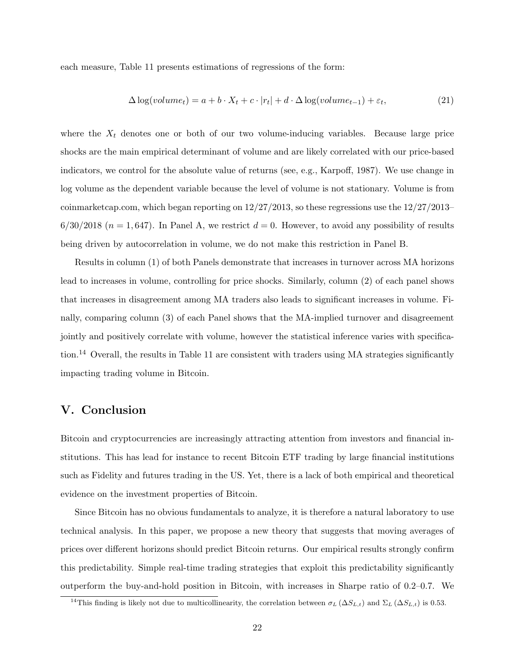each measure, Table 11 presents estimations of regressions of the form:

$$
\Delta \log(volume_t) = a + b \cdot X_t + c \cdot |r_t| + d \cdot \Delta \log(volume_{t-1}) + \varepsilon_t,
$$
\n(21)

where the  $X_t$  denotes one or both of our two volume-inducing variables. Because large price shocks are the main empirical determinant of volume and are likely correlated with our price-based indicators, we control for the absolute value of returns (see, e.g., Karpoff, 1987). We use change in log volume as the dependent variable because the level of volume is not stationary. Volume is from coinmarketcap.com, which began reporting on 12/27/2013, so these regressions use the 12/27/2013–  $6/30/2018$  ( $n = 1,647$ ). In Panel A, we restrict  $d = 0$ . However, to avoid any possibility of results being driven by autocorrelation in volume, we do not make this restriction in Panel B.

Results in column (1) of both Panels demonstrate that increases in turnover across MA horizons lead to increases in volume, controlling for price shocks. Similarly, column (2) of each panel shows that increases in disagreement among MA traders also leads to significant increases in volume. Finally, comparing column (3) of each Panel shows that the MA-implied turnover and disagreement jointly and positively correlate with volume, however the statistical inference varies with specification.<sup>14</sup> Overall, the results in Table 11 are consistent with traders using MA strategies significantly impacting trading volume in Bitcoin.

## V. Conclusion

Bitcoin and cryptocurrencies are increasingly attracting attention from investors and financial institutions. This has lead for instance to recent Bitcoin ETF trading by large financial institutions such as Fidelity and futures trading in the US. Yet, there is a lack of both empirical and theoretical evidence on the investment properties of Bitcoin.

Since Bitcoin has no obvious fundamentals to analyze, it is therefore a natural laboratory to use technical analysis. In this paper, we propose a new theory that suggests that moving averages of prices over different horizons should predict Bitcoin returns. Our empirical results strongly confirm this predictability. Simple real-time trading strategies that exploit this predictability significantly outperform the buy-and-hold position in Bitcoin, with increases in Sharpe ratio of 0.2–0.7. We

<sup>&</sup>lt;sup>14</sup>This finding is likely not due to multicollinearity, the correlation between  $\sigma_L(\Delta S_{L,t})$  and  $\Sigma_L(\Delta S_{L,t})$  is 0.53.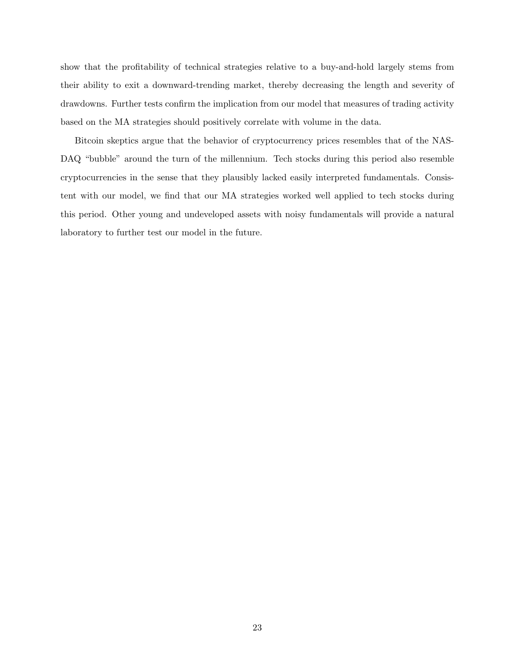show that the profitability of technical strategies relative to a buy-and-hold largely stems from their ability to exit a downward-trending market, thereby decreasing the length and severity of drawdowns. Further tests confirm the implication from our model that measures of trading activity based on the MA strategies should positively correlate with volume in the data.

Bitcoin skeptics argue that the behavior of cryptocurrency prices resembles that of the NAS-DAQ "bubble" around the turn of the millennium. Tech stocks during this period also resemble cryptocurrencies in the sense that they plausibly lacked easily interpreted fundamentals. Consistent with our model, we find that our MA strategies worked well applied to tech stocks during this period. Other young and undeveloped assets with noisy fundamentals will provide a natural laboratory to further test our model in the future.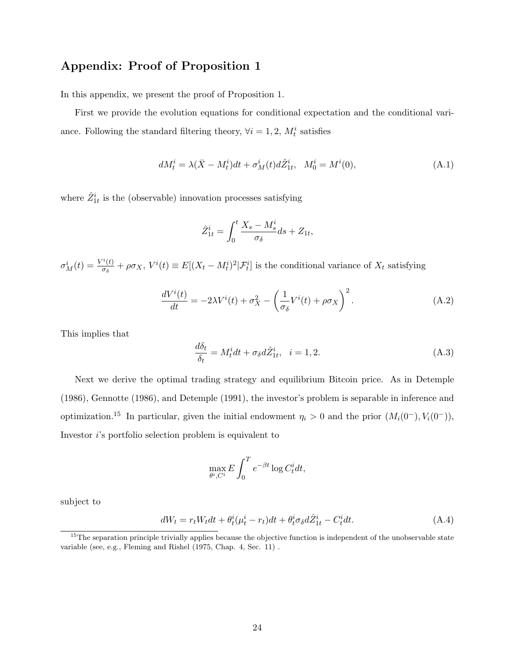# Appendix: Proof of Proposition 1

In this appendix, we present the proof of Proposition 1.

First we provide the evolution equations for conditional expectation and the conditional variance. Following the standard filtering theory,  $\forall i = 1, 2, M_t^i$  satisfies

$$
dM_t^i = \lambda(\bar{X} - M_t^i)dt + \sigma_M^i(t)d\hat{Z}_{1t}^i, \quad M_0^i = M^i(0),
$$
\n(A.1)

where  $\hat{Z}_{1t}^{i}$  is the (observable) innovation processes satisfying

$$
\hat{Z}_{1t}^i = \int_0^t \frac{X_s - M_s^i}{\sigma_\delta} ds + Z_{1t},
$$

 $\sigma_M^i(t) = \frac{V^i(t)}{\sigma_\delta}$  $\frac{f(t)}{\sigma_{\delta}} + \rho \sigma_X$ ,  $V^{i}(t) \equiv E[(X_t - M_t^{i})^2 | \mathcal{F}_t^{i}]$  is the conditional variance of  $X_t$  satisfying

$$
\frac{dV^{i}(t)}{dt} = -2\lambda V^{i}(t) + \sigma_{X}^{2} - \left(\frac{1}{\sigma_{\delta}}V^{i}(t) + \rho \sigma_{X}\right)^{2}.
$$
\n(A.2)

This implies that

$$
\frac{d\delta_t}{\delta_t} = M_t^i dt + \sigma_\delta d\hat{Z}_{1t}^i, \quad i = 1, 2. \tag{A.3}
$$

Next we derive the optimal trading strategy and equilibrium Bitcoin price. As in Detemple (1986), Gennotte (1986), and Detemple (1991), the investor's problem is separable in inference and optimization.<sup>15</sup> In particular, given the initial endowment  $\eta_i > 0$  and the prior  $(M_i(0^-), V_i(0^-)),$ Investor  $i$ 's portfolio selection problem is equivalent to

$$
\max_{\theta^i, C^i} E \int_0^T e^{-\beta t} \log C_t^i dt,
$$

subject to

$$
dW_t = r_t W_t dt + \theta_t^i (\mu_t^i - r_t) dt + \theta_t^i \sigma_\delta d\hat{Z}_{1t}^i - C_t^i dt.
$$
 (A.4)

 $15$ The separation principle trivially applies because the objective function is independent of the unobservable state variable (see, e.g., Fleming and Rishel (1975, Chap. 4, Sec. 11) .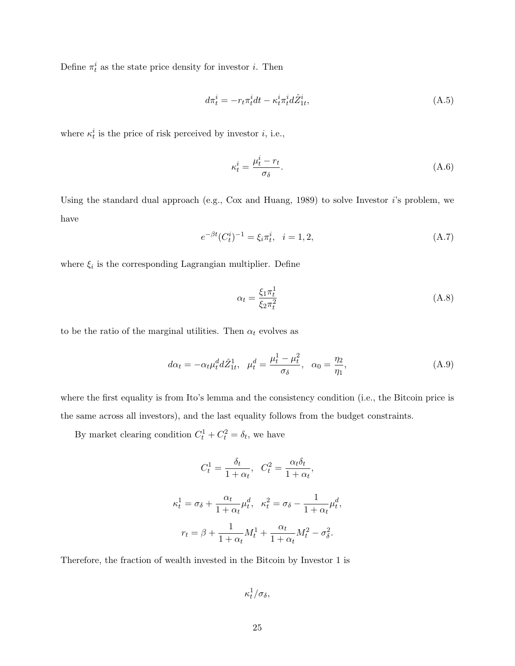Define  $\pi_t^i$  as the state price density for investor *i*. Then

$$
d\pi_t^i = -r_t \pi_t^i dt - \kappa_t^i \pi_t^i d\hat{Z}_{1t}^i,\tag{A.5}
$$

where  $\kappa_t^i$  is the price of risk perceived by investor *i*, i.e.,

$$
\kappa_t^i = \frac{\mu_t^i - r_t}{\sigma_\delta}.\tag{A.6}
$$

Using the standard dual approach (e.g., Cox and Huang, 1989) to solve Investor  $i$ 's problem, we have

$$
e^{-\beta t} (C_t^i)^{-1} = \xi_i \pi_t^i, \quad i = 1, 2,
$$
\n(A.7)

where  $\xi_i$  is the corresponding Lagrangian multiplier. Define

$$
\alpha_t = \frac{\xi_1 \pi_t^1}{\xi_2 \pi_t^2} \tag{A.8}
$$

to be the ratio of the marginal utilities. Then  $\alpha_t$  evolves as

$$
d\alpha_t = -\alpha_t \mu_t^d d\hat{Z}_{1t}^1, \quad \mu_t^d = \frac{\mu_t^1 - \mu_t^2}{\sigma_\delta}, \quad \alpha_0 = \frac{\eta_2}{\eta_1},\tag{A.9}
$$

where the first equality is from Ito's lemma and the consistency condition (i.e., the Bitcoin price is the same across all investors), and the last equality follows from the budget constraints.

By market clearing condition  $C_t^1 + C_t^2 = \delta_t$ , we have

$$
C_t^1 = \frac{\delta_t}{1 + \alpha_t}, \quad C_t^2 = \frac{\alpha_t \delta_t}{1 + \alpha_t},
$$

$$
\kappa_t^1 = \sigma_\delta + \frac{\alpha_t}{1 + \alpha_t} \mu_t^d, \quad \kappa_t^2 = \sigma_\delta - \frac{1}{1 + \alpha_t} \mu_t^d,
$$

$$
r_t = \beta + \frac{1}{1 + \alpha_t} M_t^1 + \frac{\alpha_t}{1 + \alpha_t} M_t^2 - \sigma_\delta^2.
$$

Therefore, the fraction of wealth invested in the Bitcoin by Investor 1 is

 $\kappa^1_t/\sigma_\delta,$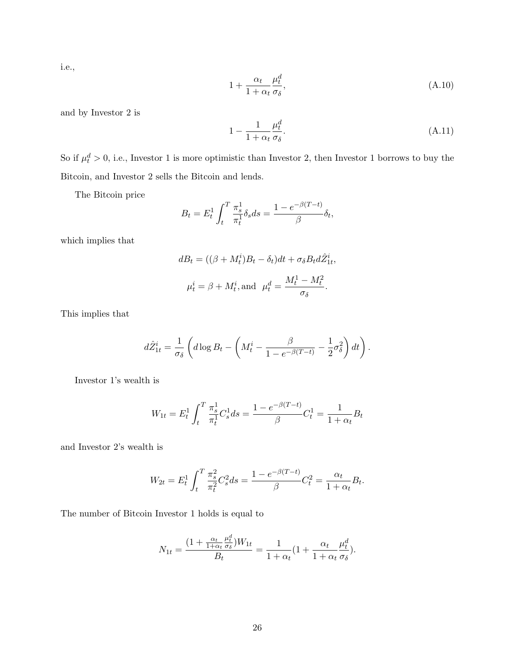i.e.,

$$
1 + \frac{\alpha_t}{1 + \alpha_t} \frac{\mu_t^d}{\sigma_\delta},\tag{A.10}
$$

and by Investor 2 is

$$
1 - \frac{1}{1 + \alpha_t} \frac{\mu_t^d}{\sigma_\delta}.\tag{A.11}
$$

So if  $\mu_t^d > 0$ , i.e., Investor 1 is more optimistic than Investor 2, then Investor 1 borrows to buy the Bitcoin, and Investor 2 sells the Bitcoin and lends.

The Bitcoin price

$$
B_t = E_t^1 \int_t^T \frac{\pi_s^1}{\pi_t^1} \delta_s ds = \frac{1 - e^{-\beta(T - t)}}{\beta} \delta_t,
$$

which implies that

$$
dB_t = ((\beta + M_t^i)B_t - \delta_t)dt + \sigma_{\delta}B_t d\hat{Z}_{1t}^i,
$$
  

$$
\mu_t^i = \beta + M_t^i, \text{and } \mu_t^d = \frac{M_t^1 - M_t^2}{\sigma_{\delta}}.
$$

This implies that

$$
d\hat{Z}_{1t}^{i} = \frac{1}{\sigma_{\delta}} \left( d \log B_{t} - \left( M_{t}^{i} - \frac{\beta}{1 - e^{-\beta(T-t)}} - \frac{1}{2} \sigma_{\delta}^{2} \right) dt \right).
$$

Investor 1's wealth is

$$
W_{1t} = E_t^1 \int_t^T \frac{\pi_s^1}{\pi_t^1} C_s^1 ds = \frac{1 - e^{-\beta(T - t)}}{\beta} C_t^1 = \frac{1}{1 + \alpha_t} B_t
$$

and Investor 2's wealth is

$$
W_{2t} = E_t^1 \int_t^T \frac{\pi_s^2}{\pi_t^2} C_s^2 ds = \frac{1 - e^{-\beta(T - t)}}{\beta} C_t^2 = \frac{\alpha_t}{1 + \alpha_t} B_t.
$$

The number of Bitcoin Investor 1 holds is equal to

$$
N_{1t} = \frac{(1 + \frac{\alpha_t}{1 + \alpha_t} \frac{\mu_t^d}{\sigma_{\delta}})W_{1t}}{B_t} = \frac{1}{1 + \alpha_t} (1 + \frac{\alpha_t}{1 + \alpha_t} \frac{\mu_t^d}{\sigma_{\delta}}).
$$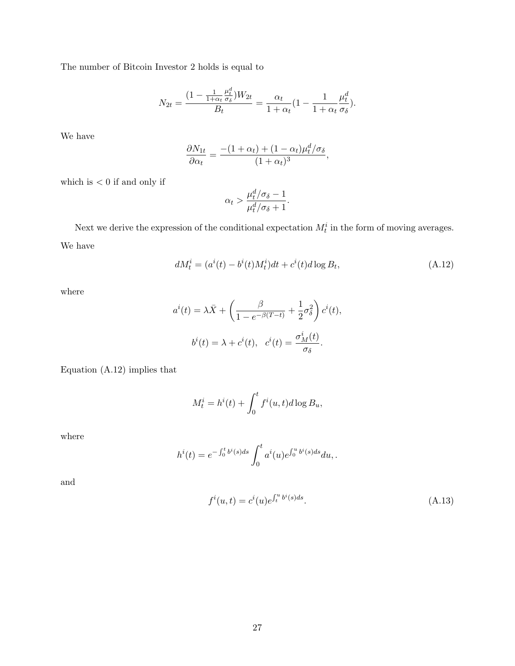The number of Bitcoin Investor 2 holds is equal to

$$
N_{2t} = \frac{(1 - \frac{1}{1 + \alpha_t} \frac{\mu_t^d}{\sigma_{\delta}})W_{2t}}{B_t} = \frac{\alpha_t}{1 + \alpha_t} (1 - \frac{1}{1 + \alpha_t} \frac{\mu_t^d}{\sigma_{\delta}}).
$$

We have

$$
\frac{\partial N_{1t}}{\partial \alpha_t} = \frac{-(1+\alpha_t) + (1-\alpha_t)\mu_t^d/\sigma_\delta}{(1+\alpha_t)^3},
$$

which is  $<0$  if and only if

$$
\alpha_t > \frac{\mu_t^d / \sigma_{\delta} - 1}{\mu_t^d / \sigma_{\delta} + 1}.
$$

Next we derive the expression of the conditional expectation  $M_t^i$  in the form of moving averages. We have

$$
dM_t^i = (a^i(t) - b^i(t)M_t^i)dt + c^i(t)d\log B_t,
$$
\n(A.12)

where

$$
a^{i}(t) = \lambda \bar{X} + \left(\frac{\beta}{1 - e^{-\beta(T - t)}} + \frac{1}{2}\sigma_{\delta}^{2}\right)c^{i}(t),
$$

$$
b^{i}(t) = \lambda + c^{i}(t), \quad c^{i}(t) = \frac{\sigma_{M}^{i}(t)}{\sigma_{\delta}}.
$$

Equation (A.12) implies that

$$
M_t^i = h^i(t) + \int_0^t f^i(u, t) d\log B_u,
$$

where

$$
h^{i}(t) = e^{-\int_{0}^{t} b^{i}(s)ds} \int_{0}^{t} a^{i}(u)e^{\int_{0}^{u} b^{i}(s)ds} du,
$$

and

$$
f^{i}(u,t) = c^{i}(u)e^{\int_{t}^{u}b^{i}(s)ds}.
$$
\n(A.13)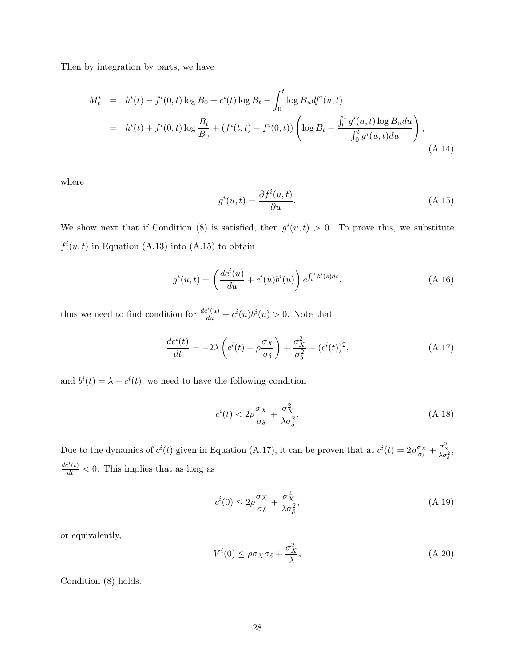Then by integration by parts, we have

$$
M_t^i = h^i(t) - f^i(0, t) \log B_0 + c^i(t) \log B_t - \int_0^t \log B_u df^i(u, t)
$$
  
= 
$$
h^i(t) + f^i(0, t) \log \frac{B_t}{B_0} + (f^i(t, t) - f^i(0, t)) \left( \log B_t - \frac{\int_0^t g^i(u, t) \log B_u du}{\int_0^t g^i(u, t) du} \right),
$$
(A.14)

where

$$
g^{i}(u,t) = \frac{\partial f^{i}(u,t)}{\partial u}.
$$
\n(A.15)

We show next that if Condition (8) is satisfied, then  $g^{i}(u,t) > 0$ . To prove this, we substitute  $f^{i}(u,t)$  in Equation (A.13) into (A.15) to obtain

$$
g^{i}(u,t) = \left(\frac{dc^{i}(u)}{du} + c^{i}(u)b^{i}(u)\right)e^{\int_{t}^{u}b^{i}(s)ds},
$$
\n(A.16)

thus we need to find condition for  $\frac{dc^i(u)}{du} + c^i(u)b^i(u) > 0$ . Note that

$$
\frac{dc^{i}(t)}{dt} = -2\lambda \left(c^{i}(t) - \rho \frac{\sigma_{X}}{\sigma_{\delta}}\right) + \frac{\sigma_{X}^{2}}{\sigma_{\delta}^{2}} - (c^{i}(t))^{2},\tag{A.17}
$$

and  $b^{i}(t) = \lambda + c^{i}(t)$ , we need to have the following condition

$$
c^{i}(t) < 2\rho \frac{\sigma_{X}}{\sigma_{\delta}} + \frac{\sigma_{X}^{2}}{\lambda \sigma_{\delta}^{2}}.\tag{A.18}
$$

Due to the dynamics of  $c^{i}(t)$  given in Equation (A.17), it can be proven that at  $c^{i}(t) = 2\rho \frac{\sigma_X}{\sigma_S}$  $\frac{\sigma_X}{\sigma_{\delta}} + \frac{\sigma_X^2}{\lambda \sigma_{\delta}^2},$  $\frac{dc^{i}(t)}{dt} < 0$ . This implies that as long as

$$
c^{i}(0) \le 2\rho \frac{\sigma_X}{\sigma_\delta} + \frac{\sigma_X^2}{\lambda \sigma_\delta^2},\tag{A.19}
$$

or equivalently,

$$
V^{i}(0) \leq \rho \sigma_{X} \sigma_{\delta} + \frac{\sigma_{X}^{2}}{\lambda}, \qquad (A.20)
$$

Condition (8) holds.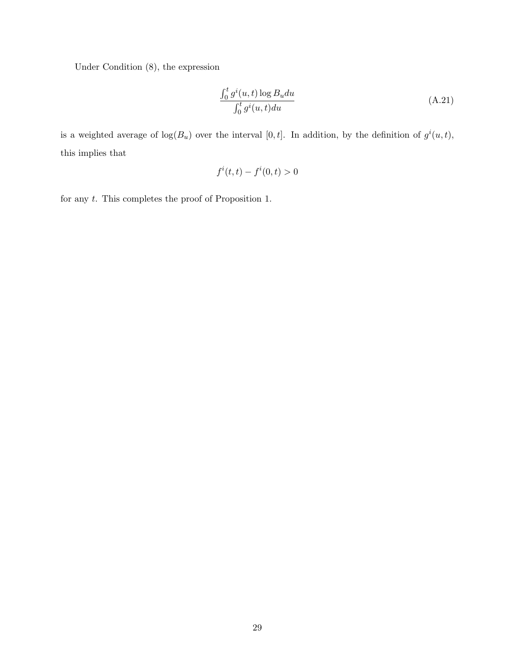Under Condition (8), the expression

$$
\frac{\int_0^t g^i(u,t) \log B_u du}{\int_0^t g^i(u,t) du}
$$
\n(A.21)

is a weighted average of  $log(B_u)$  over the interval [0, t]. In addition, by the definition of  $g^i(u, t)$ , this implies that

$$
f^i(t,t) - f^i(0,t) > 0
$$

for any t. This completes the proof of Proposition 1.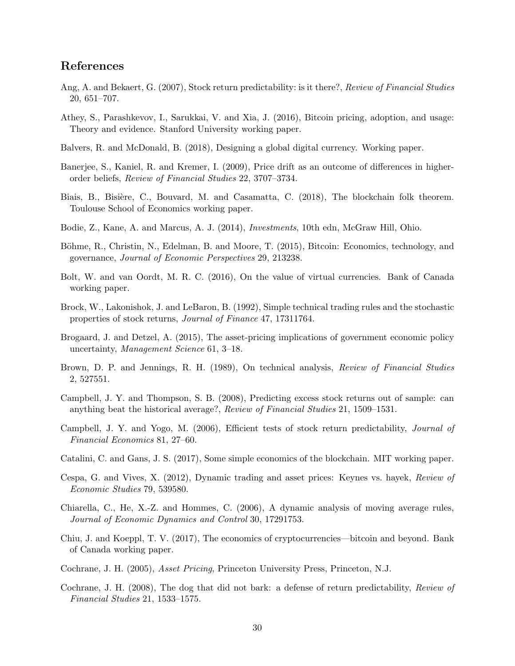# References

- Ang, A. and Bekaert, G. (2007), Stock return predictability: is it there?, Review of Financial Studies 20, 651–707.
- Athey, S., Parashkevov, I., Sarukkai, V. and Xia, J. (2016), Bitcoin pricing, adoption, and usage: Theory and evidence. Stanford University working paper.
- Balvers, R. and McDonald, B. (2018), Designing a global digital currency. Working paper.
- Banerjee, S., Kaniel, R. and Kremer, I. (2009), Price drift as an outcome of differences in higherorder beliefs, Review of Financial Studies 22, 3707–3734.
- Biais, B., Bisière, C., Bouvard, M. and Casamatta, C. (2018), The blockchain folk theorem. Toulouse School of Economics working paper.
- Bodie, Z., Kane, A. and Marcus, A. J. (2014), Investments, 10th edn, McGraw Hill, Ohio.
- Böhme, R., Christin, N., Edelman, B. and Moore, T. (2015), Bitcoin: Economics, technology, and governance, Journal of Economic Perspectives 29, 213238.
- Bolt, W. and van Oordt, M. R. C. (2016), On the value of virtual currencies. Bank of Canada working paper.
- Brock, W., Lakonishok, J. and LeBaron, B. (1992), Simple technical trading rules and the stochastic properties of stock returns, Journal of Finance 47, 17311764.
- Brogaard, J. and Detzel, A. (2015), The asset-pricing implications of government economic policy uncertainty, Management Science 61, 3–18.
- Brown, D. P. and Jennings, R. H. (1989), On technical analysis, *Review of Financial Studies* 2, 527551.
- Campbell, J. Y. and Thompson, S. B. (2008), Predicting excess stock returns out of sample: can anything beat the historical average?, Review of Financial Studies 21, 1509–1531.
- Campbell, J. Y. and Yogo, M. (2006), Efficient tests of stock return predictability, Journal of Financial Economics 81, 27–60.
- Catalini, C. and Gans, J. S. (2017), Some simple economics of the blockchain. MIT working paper.
- Cespa, G. and Vives, X. (2012), Dynamic trading and asset prices: Keynes vs. hayek, Review of Economic Studies 79, 539580.
- Chiarella, C., He, X.-Z. and Hommes, C. (2006), A dynamic analysis of moving average rules, Journal of Economic Dynamics and Control 30, 17291753.
- Chiu, J. and Koeppl, T. V. (2017), The economics of cryptocurrencies—bitcoin and beyond. Bank of Canada working paper.
- Cochrane, J. H. (2005), Asset Pricing, Princeton University Press, Princeton, N.J.
- Cochrane, J. H. (2008), The dog that did not bark: a defense of return predictability, Review of Financial Studies 21, 1533–1575.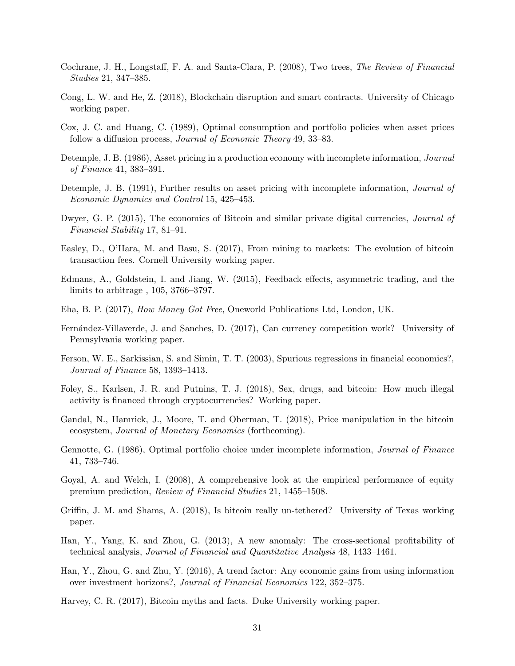- Cochrane, J. H., Longstaff, F. A. and Santa-Clara, P. (2008), Two trees, The Review of Financial Studies 21, 347–385.
- Cong, L. W. and He, Z. (2018), Blockchain disruption and smart contracts. University of Chicago working paper.
- Cox, J. C. and Huang, C. (1989), Optimal consumption and portfolio policies when asset prices follow a diffusion process, *Journal of Economic Theory* 49, 33–83.
- Detemple, J. B. (1986), Asset pricing in a production economy with incomplete information, *Journal* of Finance 41, 383–391.
- Detemple, J. B. (1991), Further results on asset pricing with incomplete information, *Journal of* Economic Dynamics and Control 15, 425–453.
- Dwyer, G. P. (2015), The economics of Bitcoin and similar private digital currencies, *Journal of* Financial Stability 17, 81–91.
- Easley, D., O'Hara, M. and Basu, S. (2017), From mining to markets: The evolution of bitcoin transaction fees. Cornell University working paper.
- Edmans, A., Goldstein, I. and Jiang, W. (2015), Feedback effects, asymmetric trading, and the limits to arbitrage , 105, 3766–3797.
- Eha, B. P. (2017), How Money Got Free, Oneworld Publications Ltd, London, UK.
- Fernández-Villaverde, J. and Sanches, D. (2017), Can currency competition work? University of Pennsylvania working paper.
- Ferson, W. E., Sarkissian, S. and Simin, T. T. (2003), Spurious regressions in financial economics?, Journal of Finance 58, 1393–1413.
- Foley, S., Karlsen, J. R. and Putnins, T. J. (2018), Sex, drugs, and bitcoin: How much illegal activity is financed through cryptocurrencies? Working paper.
- Gandal, N., Hamrick, J., Moore, T. and Oberman, T. (2018), Price manipulation in the bitcoin ecosystem, Journal of Monetary Economics (forthcoming).
- Gennotte, G. (1986), Optimal portfolio choice under incomplete information, Journal of Finance 41, 733–746.
- Goyal, A. and Welch, I. (2008), A comprehensive look at the empirical performance of equity premium prediction, Review of Financial Studies 21, 1455–1508.
- Griffin, J. M. and Shams, A. (2018), Is bitcoin really un-tethered? University of Texas working paper.
- Han, Y., Yang, K. and Zhou, G. (2013), A new anomaly: The cross-sectional profitability of technical analysis, Journal of Financial and Quantitative Analysis 48, 1433–1461.
- Han, Y., Zhou, G. and Zhu, Y. (2016), A trend factor: Any economic gains from using information over investment horizons?, Journal of Financial Economics 122, 352–375.
- Harvey, C. R. (2017), Bitcoin myths and facts. Duke University working paper.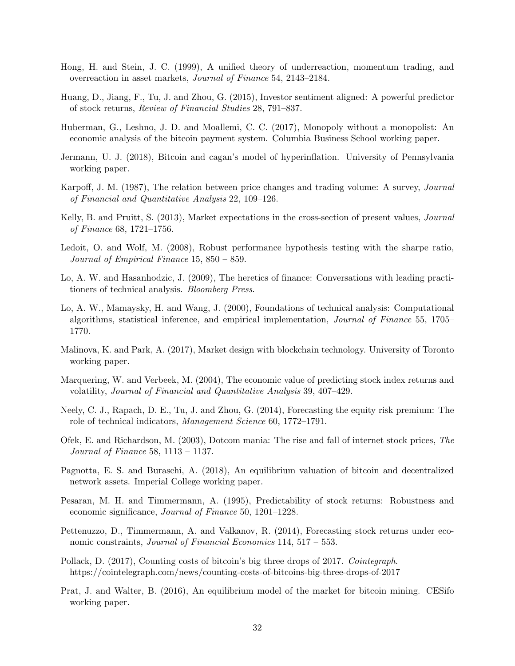- Hong, H. and Stein, J. C. (1999), A unified theory of underreaction, momentum trading, and overreaction in asset markets, Journal of Finance 54, 2143–2184.
- Huang, D., Jiang, F., Tu, J. and Zhou, G. (2015), Investor sentiment aligned: A powerful predictor of stock returns, Review of Financial Studies 28, 791–837.
- Huberman, G., Leshno, J. D. and Moallemi, C. C. (2017), Monopoly without a monopolist: An economic analysis of the bitcoin payment system. Columbia Business School working paper.
- Jermann, U. J. (2018), Bitcoin and cagan's model of hyperinflation. University of Pennsylvania working paper.
- Karpoff, J. M. (1987), The relation between price changes and trading volume: A survey, Journal of Financial and Quantitative Analysis 22, 109–126.
- Kelly, B. and Pruitt, S. (2013), Market expectations in the cross-section of present values, Journal of Finance 68, 1721–1756.
- Ledoit, O. and Wolf, M. (2008), Robust performance hypothesis testing with the sharpe ratio, Journal of Empirical Finance 15, 850 – 859.
- Lo, A. W. and Hasanhodzic, J. (2009), The heretics of finance: Conversations with leading practitioners of technical analysis. Bloomberg Press.
- Lo, A. W., Mamaysky, H. and Wang, J. (2000), Foundations of technical analysis: Computational algorithms, statistical inference, and empirical implementation, Journal of Finance 55, 1705– 1770.
- Malinova, K. and Park, A. (2017), Market design with blockchain technology. University of Toronto working paper.
- Marquering, W. and Verbeek, M. (2004), The economic value of predicting stock index returns and volatility, Journal of Financial and Quantitative Analysis 39, 407–429.
- Neely, C. J., Rapach, D. E., Tu, J. and Zhou, G. (2014), Forecasting the equity risk premium: The role of technical indicators, Management Science 60, 1772–1791.
- Ofek, E. and Richardson, M. (2003), Dotcom mania: The rise and fall of internet stock prices, The Journal of Finance 58, 1113 – 1137.
- Pagnotta, E. S. and Buraschi, A. (2018), An equilibrium valuation of bitcoin and decentralized network assets. Imperial College working paper.
- Pesaran, M. H. and Timmermann, A. (1995), Predictability of stock returns: Robustness and economic significance, Journal of Finance 50, 1201–1228.
- Pettenuzzo, D., Timmermann, A. and Valkanov, R. (2014), Forecasting stock returns under economic constraints, Journal of Financial Economics 114, 517 – 553.
- Pollack, D. (2017), Counting costs of bitcoin's big three drops of 2017. Cointegraph. https://cointelegraph.com/news/counting-costs-of-bitcoins-big-three-drops-of-2017
- Prat, J. and Walter, B. (2016), An equilibrium model of the market for bitcoin mining. CESifo working paper.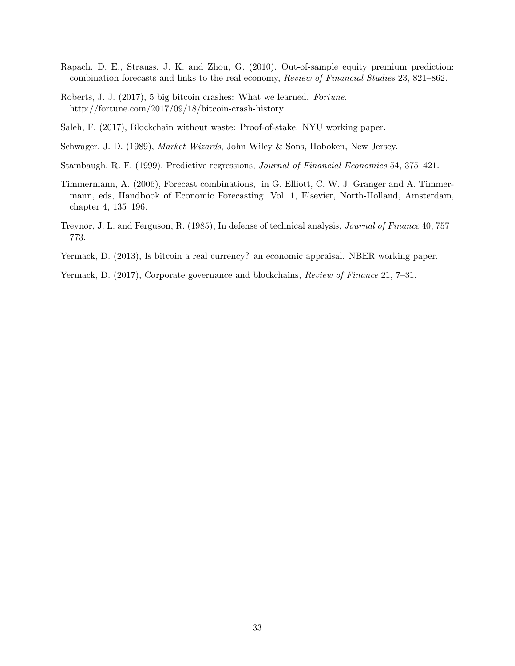- Rapach, D. E., Strauss, J. K. and Zhou, G. (2010), Out-of-sample equity premium prediction: combination forecasts and links to the real economy, Review of Financial Studies 23, 821–862.
- Roberts, J. J. (2017), 5 big bitcoin crashes: What we learned. Fortune. http://fortune.com/2017/09/18/bitcoin-crash-history
- Saleh, F. (2017), Blockchain without waste: Proof-of-stake. NYU working paper.
- Schwager, J. D. (1989), Market Wizards, John Wiley & Sons, Hoboken, New Jersey.
- Stambaugh, R. F. (1999), Predictive regressions, Journal of Financial Economics 54, 375–421.
- Timmermann, A. (2006), Forecast combinations, in G. Elliott, C. W. J. Granger and A. Timmermann, eds, Handbook of Economic Forecasting, Vol. 1, Elsevier, North-Holland, Amsterdam, chapter 4, 135–196.
- Treynor, J. L. and Ferguson, R. (1985), In defense of technical analysis, Journal of Finance 40, 757– 773.
- Yermack, D. (2013), Is bitcoin a real currency? an economic appraisal. NBER working paper.
- Yermack, D. (2017), Corporate governance and blockchains, Review of Finance 21, 7–31.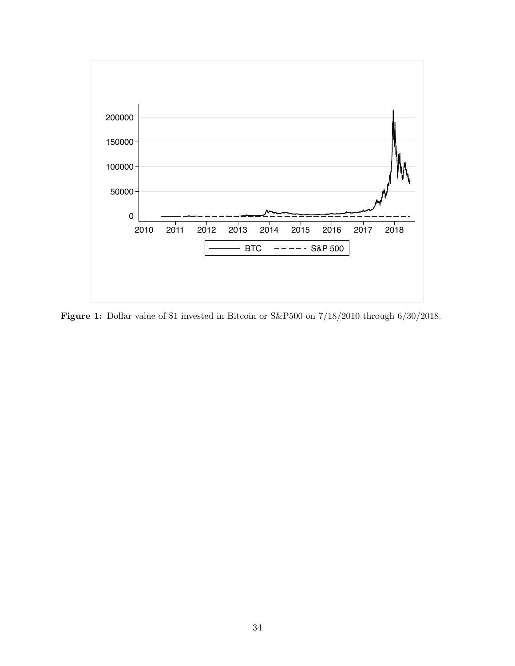

Figure 1: Dollar value of \$1 invested in Bitcoin or S&P500 on 7/18/2010 through 6/30/2018.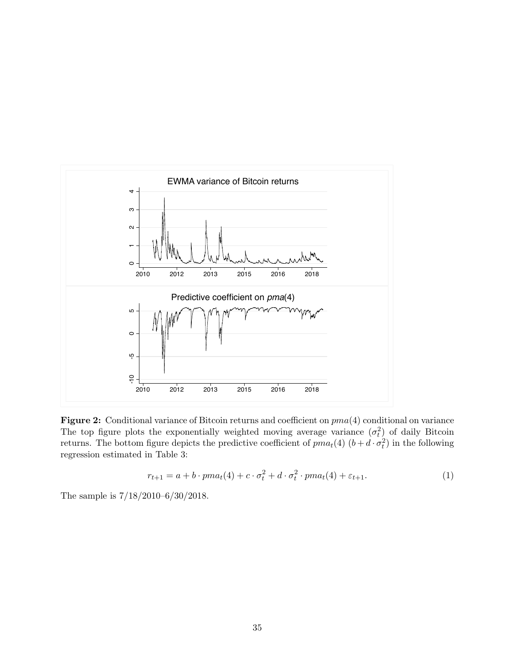

Figure 2: Conditional variance of Bitcoin returns and coefficient on pma(4) conditional on variance The top figure plots the exponentially weighted moving average variance  $(\sigma_t^2)$  of daily Bitcoin returns. The bottom figure depicts the predictive coefficient of  $pma_t(4)$   $(b+d \cdot \sigma_t^2)$  in the following regression estimated in Table 3:

$$
r_{t+1} = a + b \cdot pma_t(4) + c \cdot \sigma_t^2 + d \cdot \sigma_t^2 \cdot pma_t(4) + \varepsilon_{t+1}.\tag{1}
$$

The sample is 7/18/2010–6/30/2018.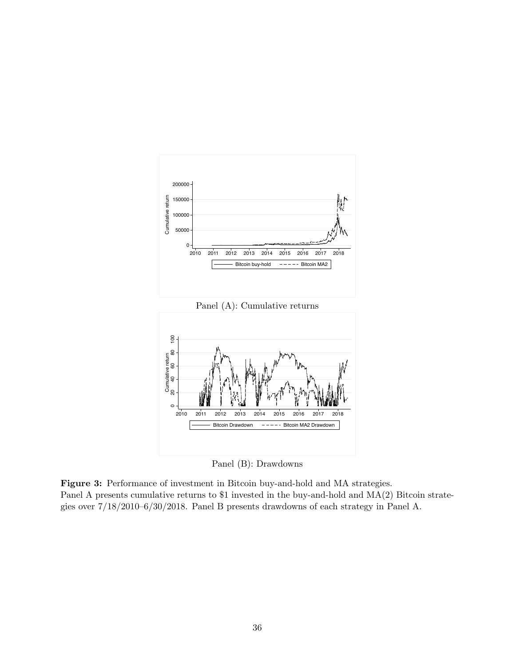

Panel (B): Drawdowns

Figure 3: Performance of investment in Bitcoin buy-and-hold and MA strategies. Panel A presents cumulative returns to \$1 invested in the buy-and-hold and MA(2) Bitcoin strategies over 7/18/2010–6/30/2018. Panel B presents drawdowns of each strategy in Panel A.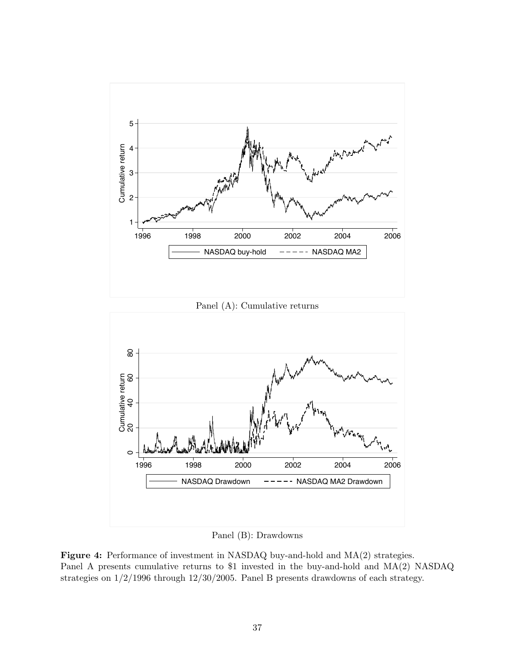

Panel (B): Drawdowns

Figure 4: Performance of investment in NASDAQ buy-and-hold and MA(2) strategies. Panel A presents cumulative returns to \$1 invested in the buy-and-hold and MA(2) NASDAQ strategies on 1/2/1996 through 12/30/2005. Panel B presents drawdowns of each strategy.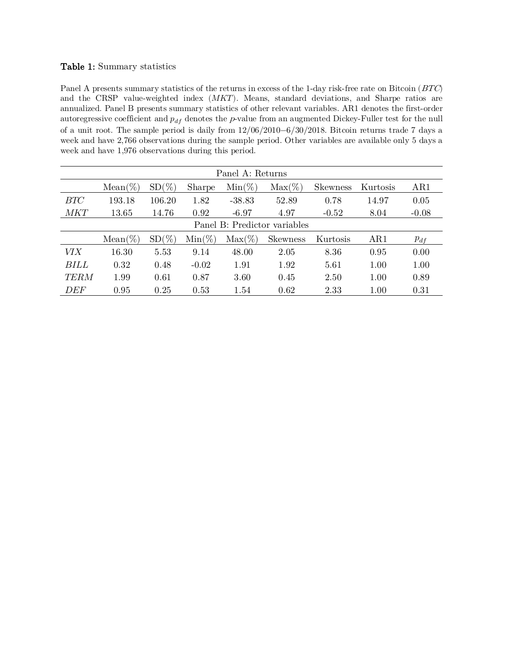### Table 1: Summary statistics

Panel A presents summary statistics of the returns in excess of the 1-day risk-free rate on Bitcoin (BTC) and the CRSP value-weighted index  $(MKT)$ . Means, standard deviations, and Sharpe ratios are annualized. Panel B presents summary statistics of other relevant variables. AR1 denotes the first-order autoregressive coefficient and  $p_{df}$  denotes the p-value from an augmented Dickey-Fuller test for the null of a unit root. The sample period is daily from 12/06/2010−6/30/2018. Bitcoin returns trade 7 days a week and have 2,766 observations during the sample period. Other variables are available only 5 days a week and have 1,976 observations during this period.

|             | Panel A: Returns |                                                                                                                                          |           |           |                 |          |      |          |  |  |  |  |  |
|-------------|------------------|------------------------------------------------------------------------------------------------------------------------------------------|-----------|-----------|-----------------|----------|------|----------|--|--|--|--|--|
|             | $Mean(\%)$       | $SD(\%)$<br>$Max(\%)$<br>$Min(\%)$<br>AR1<br>Kurtosis<br><b>Sharpe</b><br><b>Skewness</b><br>106.20<br>1.82<br>52.89<br>0.78<br>$-38.83$ |           |           |                 |          |      |          |  |  |  |  |  |
| BTC         | 193.18           | 14.97                                                                                                                                    | 0.05      |           |                 |          |      |          |  |  |  |  |  |
| <b>MKT</b>  | 13.65            | 8.04                                                                                                                                     | $-0.08$   |           |                 |          |      |          |  |  |  |  |  |
|             |                  | Panel B: Predictor variables                                                                                                             |           |           |                 |          |      |          |  |  |  |  |  |
|             | $Mean(\%)$       | $SD(\%)$                                                                                                                                 | $Min(\%)$ | $Max(\%)$ | <b>Skewness</b> | Kurtosis | AR1  | $p_{df}$ |  |  |  |  |  |
| <i>VIX</i>  | 16.30            | 5.53                                                                                                                                     | 9.14      | 48.00     | 2.05            | 8.36     | 0.95 | 0.00     |  |  |  |  |  |
| BILL        | 0.32             | 0.48                                                                                                                                     | $-0.02$   | 1.92      | 5.61            | 1.00     | 1.00 |          |  |  |  |  |  |
| <b>TERM</b> | 1.99             | 1.00                                                                                                                                     | 0.89      |           |                 |          |      |          |  |  |  |  |  |
| DEF         | 0.95             | 0.25                                                                                                                                     | 0.53      | 1.54      | 0.62            | 2.33     | 1.00 | 0.31     |  |  |  |  |  |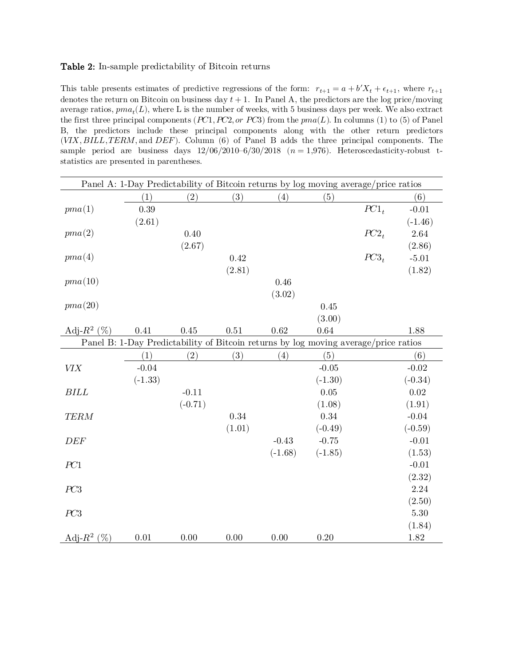### Table 2: In-sample predictability of Bitcoin returns

This table presents estimates of predictive regressions of the form:  $r_{t+1} = a + b'X_t + \epsilon_{t+1}$ , where  $r_{t+1}$ denotes the return on Bitcoin on business day  $t + 1$ . In Panel A, the predictors are the log price/moving average ratios,  $pma_t(L)$ , where L is the number of weeks, with 5 business days per week. We also extract the first three principal components ( $PC1, PC2, or PC3$ ) from the  $pma(L)$ . In columns (1) to (5) of Panel B, the predictors include these principal components along with the other return predictors  $(VIX, BILL, TERM, and DEF)$ . Column (6) of Panel B adds the three principal components. The sample period are business days  $12/06/2010-6/30/2018$  ( $n=1,976$ ). Heteroscedasticity-robust tstatistics are presented in parentheses.

|                |           |           |          |           | Panel A: 1-Day Predictability of Bitcoin returns by log moving average/price ratios |           |           |
|----------------|-----------|-----------|----------|-----------|-------------------------------------------------------------------------------------|-----------|-----------|
|                | (1)       | (2)       | (3)      | (4)       | (5)                                                                                 |           | (6)       |
| pma(1)         | 0.39      |           |          |           |                                                                                     | $PC1_{t}$ | $-0.01$   |
|                | (2.61)    |           |          |           |                                                                                     |           | $(-1.46)$ |
| pma(2)         |           | 0.40      |          |           |                                                                                     | $PC2_t$   | 2.64      |
|                |           | (2.67)    |          |           |                                                                                     |           | (2.86)    |
| pma(4)         |           |           | 0.42     |           |                                                                                     | $PC3_t$   | $-5.01$   |
|                |           |           | (2.81)   |           |                                                                                     |           | (1.82)    |
| pma(10)        |           |           |          | 0.46      |                                                                                     |           |           |
|                |           |           |          | (3.02)    |                                                                                     |           |           |
| pma(20)        |           |           |          |           | 0.45                                                                                |           |           |
|                |           |           |          |           | (3.00)                                                                              |           |           |
| Adj- $R^2$ (%) | 0.41      | 0.45      | 0.51     | $0.62\,$  | 0.64                                                                                |           | 1.88      |
|                |           |           |          |           | Panel B: 1-Day Predictability of Bitcoin returns by log moving average/price ratios |           |           |
|                | (1)       | (2)       | (3)      | (4)       | (5)                                                                                 |           | (6)       |
| VIX            | $-0.04$   |           |          |           | $-0.05$                                                                             |           | $-0.02$   |
|                | $(-1.33)$ |           |          |           | $(-1.30)$                                                                           |           | $(-0.34)$ |
| BILL           |           | $-0.11$   |          |           | 0.05                                                                                |           | 0.02      |
|                |           | $(-0.71)$ |          |           | (1.08)                                                                              |           | (1.91)    |
| <b>TERM</b>    |           |           | 0.34     |           | 0.34                                                                                |           | $-0.04$   |
|                |           |           | (1.01)   |           | $(-0.49)$                                                                           |           | $(-0.59)$ |
| DEF            |           |           |          | $-0.43$   | $-0.75$                                                                             |           | $-0.01$   |
|                |           |           |          | $(-1.68)$ | $(-1.85)$                                                                           |           | (1.53)    |
| PC1            |           |           |          |           |                                                                                     |           | $-0.01$   |
|                |           |           |          |           |                                                                                     |           | (2.32)    |
| PC3            |           |           |          |           |                                                                                     |           | 2.24      |
|                |           |           |          |           |                                                                                     |           | (2.50)    |
| PC3            |           |           |          |           |                                                                                     |           | $5.30\,$  |
|                |           |           |          |           |                                                                                     |           | (1.84)    |
| Adj- $R^2$ (%) | $0.01\,$  | $0.00\,$  | $0.00\,$ | $0.00\,$  | 0.20                                                                                |           | 1.82      |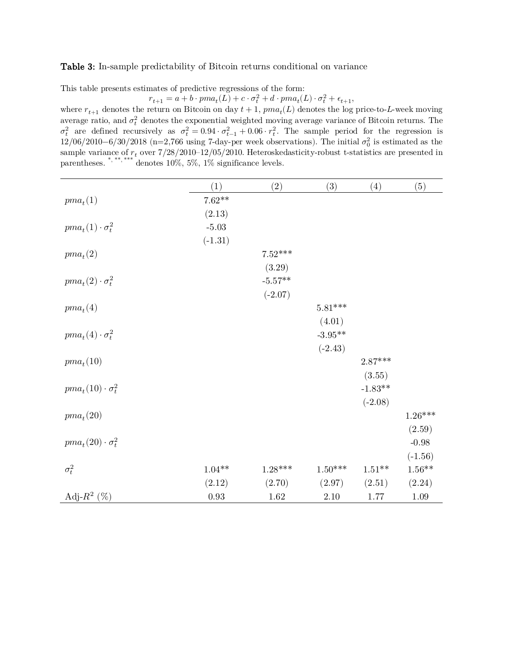### Table 3: In-sample predictability of Bitcoin returns conditional on variance

This table presents estimates of predictive regressions of the form:

 $r_{t+1} = a + b \cdot pma_t(L) + c \cdot \sigma_t^2 + d \cdot pma_t(L) \cdot \sigma_t^2 + \epsilon_{t+1},$ 

where  $r_{t+1}$  denotes the return on Bitcoin on day  $t + 1$ ,  $pma_t(L)$  denotes the log price-to-L-week moving average ratio, and  $\sigma_t^2$  denotes the exponential weighted moving average variance of Bitcoin returns. The  $\sigma_t^2$  are defined recursively as  $\sigma_t^2 = 0.94 \cdot \sigma_{t-1}^2 + 0.06 \cdot r_t^2$ . The sample period for the regression is 12/06/2010−6/30/2018 (n=2,766 using 7-day-per week observations). The initial  $\sigma_0^2$  is estimated as the sample variance of  $r_t$  over  $7/28/2010-12/05/2010$ . Heteroskedasticity-robust t-statistics are presented in parentheses. \*,\*\*\*,\*\*\*\* denotes  $10\%, 5\%, 1\%$  significance levels.

|                            | (1)        | (2)       | (3)                   | (4)       | (5)       |
|----------------------------|------------|-----------|-----------------------|-----------|-----------|
| $pma_t(1)$                 | $7.62**$   |           |                       |           |           |
|                            | (2.13)     |           |                       |           |           |
| $pma_t(1)\cdot \sigma_t^2$ | $-5.03$    |           |                       |           |           |
|                            | $(-1.31)$  |           |                       |           |           |
| $pma_t(2)$                 |            | $7.52***$ |                       |           |           |
|                            |            | (3.29)    |                       |           |           |
| $pma_t(2)\cdot \sigma_t^2$ |            | $-5.57**$ |                       |           |           |
|                            |            | $(-2.07)$ |                       |           |           |
| $pma_t(4)$                 |            |           | $5.81***$             |           |           |
|                            |            |           | (4.01)                |           |           |
| $pma_t(4)\cdot \sigma_t^2$ |            |           | $-3.95**$             |           |           |
|                            |            |           | $(-2.43)$             |           |           |
| $pma_t(10)$                |            |           |                       | $2.87***$ |           |
|                            |            |           |                       | (3.55)    |           |
| $pma_t(10)\cdot\sigma_t^2$ |            |           |                       | $-1.83**$ |           |
|                            |            |           |                       | $(-2.08)$ |           |
| $pma_t(20)$                |            |           |                       |           | $1.26***$ |
|                            |            |           |                       |           | (2.59)    |
| $pma_t(20)\cdot\sigma_t^2$ |            |           |                       |           | $-0.98$   |
|                            |            |           |                       |           | $(-1.56)$ |
| $\sigma_t^2$               | $1.04**$   | $1.28***$ | $1.50^{\ast\ast\ast}$ | $1.51***$ | $1.56**$  |
|                            | (2.12)     | (2.70)    | (2.97)                | (2.51)    | (2.24)    |
| Adj- $R^2$ (%)             | $\rm 0.93$ | 1.62      | $2.10\,$              | 1.77      | 1.09      |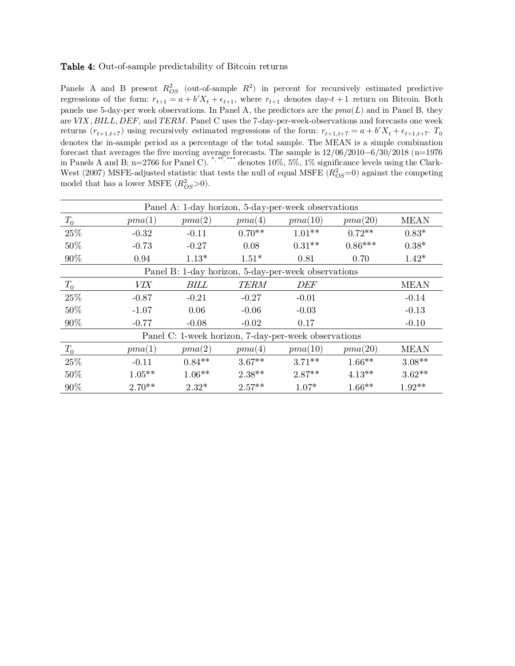### Table 4: Out-of-sample predictability of Bitcoin returns

Panels A and B present  $R_{OS}^2$  (out-of-sample  $R^2$ ) in percent for recursively estimated predictive regressions of the form:  $r_{t+1} = a + b'X_t + \epsilon_{t+1}$ , where  $r_{t+1}$  denotes day- $t+1$  return on Bitcoin. Both panels use 5-day-per week observations. In Panel A, the predictors are the  $pma(L)$  and in Panel B, they are  $VIX$ ,  $BILL$ ,  $DEF$ , and  $TERM$ . Panel C uses the 7-day-per-week-observations and forecasts one week returns  $(r_{t+1,t+7})$  using recursively estimated regressions of the form:  $r_{t+1,t+7} = a + b'X_t + \epsilon_{t+1,t+7}$ .  $T_0$ denotes the in-sample period as a percentage of the total sample. The MEAN is a simple combination forecast that averages the five moving average forecasts. The sample is 12/06/2010−6/30/2018 (n=1976 in Panels A and B; n=2766 for Panel C). \*, \*\*, \*\*\* denotes 10%, 5%, 1% significance levels using the Clark-West (2007) MSFE-adjusted statistic that tests the null of equal MSFE  $(R_{OS}^2=0)$  against the competing model that has a lower MSFE  $(R_{OS}^2>0)$ .

|         | Panel A: 1-day horizon, 5-day-per-week observations |          |             |                                                      |           |             |  |  |  |  |  |
|---------|-----------------------------------------------------|----------|-------------|------------------------------------------------------|-----------|-------------|--|--|--|--|--|
| $T_{0}$ | pma(1)                                              | pma(2)   | pma(4)      | pma(10)                                              | pma(20)   | MEAN        |  |  |  |  |  |
| 25%     | $-0.32$                                             | $-0.11$  | $0.70**$    | $1.01**$                                             | $0.72**$  | $0.83*$     |  |  |  |  |  |
| 50%     | $-0.73$                                             | $-0.27$  | 0.08        | $0.31**$                                             | $0.86***$ | $0.38*$     |  |  |  |  |  |
| 90%     | 0.94                                                | $1.13*$  | $1.51*$     | 0.81                                                 | 0.70      | $1.42*$     |  |  |  |  |  |
|         |                                                     |          |             | Panel B: 1-day horizon, 5-day-per-week observations  |           |             |  |  |  |  |  |
| $T_{0}$ | VIX                                                 | BILL     | <b>TERM</b> | DEF                                                  |           | MEAN        |  |  |  |  |  |
| 25%     | $-0.87$                                             | $-0.21$  | $-0.27$     | $-0.01$                                              |           | $-0.14$     |  |  |  |  |  |
| 50%     | $-1.07$                                             | 0.06     | $-0.06$     | $-0.03$                                              |           | $-0.13$     |  |  |  |  |  |
| 90%     | $-0.77$                                             | $-0.08$  | $-0.02$     | 0.17                                                 |           | $-0.10$     |  |  |  |  |  |
|         |                                                     |          |             | Panel C: 1-week horizon, 7-day-per-week observations |           |             |  |  |  |  |  |
| $T_0$   | pma(1)                                              | pma(2)   | pma(4)      | pma(10)                                              | pma(20)   | <b>MEAN</b> |  |  |  |  |  |
| 25%     | $-0.11$                                             | $0.84**$ | $3.67**$    | $3.71**$                                             | $1.66**$  | $3.08**$    |  |  |  |  |  |
| 50%     | $1.05**$                                            | $1.06**$ | $2.38***$   | $2.87**$                                             | $4.13**$  | $3.62**$    |  |  |  |  |  |
| 90%     | $2.70**$                                            | $2.32*$  | $2.57**$    | $1.07*$                                              | $1.66**$  | $1.92**$    |  |  |  |  |  |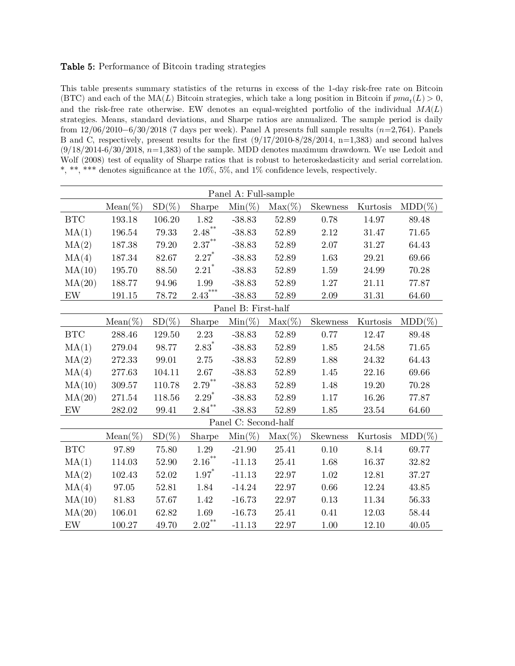### Table 5: Performance of Bitcoin trading strategies

This table presents summary statistics of the returns in excess of the 1-day risk-free rate on Bitcoin (BTC) and each of the  $MA(L)$  Bitcoin strategies, which take a long position in Bitcoin if  $pma_t(L) > 0$ , and the risk-free rate otherwise. EW denotes an equal-weighted portfolio of the individual  $MA(L)$ strategies. Means, standard deviations, and Sharpe ratios are annualized. The sample period is daily from  $12/06/2010-6/30/2018$  (7 days per week). Panel A presents full sample results  $(n=2,764)$ . Panels B and C, respectively, present results for the first  $(9/17/2010-8/28/2014, n=1,383)$  and second halves  $(9/18/2014-6/30/2018, n=1,383)$  of the sample. MDD denotes maximum drawdown. We use Ledoit and Wolf (2008) test of equality of Sharpe ratios that is robust to heteroskedasticity and serial correlation. \*, \*\*, \*\*\* denotes significance at the 10%, 5%, and 1% confidence levels, respectively.

|                                 | Panel A: Full-sample |           |                     |                      |           |          |           |           |  |  |
|---------------------------------|----------------------|-----------|---------------------|----------------------|-----------|----------|-----------|-----------|--|--|
|                                 | $Mean(\%)$           | $SD(\%)$  | Sharpe              | $Min(\%)$            | $Max(\%)$ | Skewness | Kurtosis  | $MDD(\%)$ |  |  |
| BTC                             | 193.18               | 106.20    | 1.82                | $-38.83$             | 52.89     | 0.78     | 14.97     | 89.48     |  |  |
| MA(1)                           | 196.54               | 79.33     | $2.48^{\ast\ast}$   | $-38.83$             | 52.89     | $2.12\,$ | 31.47     | 71.65     |  |  |
| MA(2)                           | 187.38               | 79.20     | $2.37***$           | $-38.83$             | 52.89     | $2.07\,$ | 31.27     | 64.43     |  |  |
| MA(4)                           | 187.34               | 82.67     | $2.27*$             | $-38.83$             | 52.89     | 1.63     | 29.21     | 69.66     |  |  |
| MA(10)                          | 195.70               | 88.50     | $2.21$ <sup>*</sup> | $-38.83$             | 52.89     | 1.59     | 24.99     | 70.28     |  |  |
| MA(20)                          | 188.77               | 94.96     | 1.99                | $-38.83$             | 52.89     | $1.27\,$ | 21.11     | 77.87     |  |  |
| $\ensuremath{\text{EW}}\xspace$ | 191.15               | 78.72     | $2.43***$           | $-38.83$             | 52.89     | $2.09\,$ | $31.31\,$ | 64.60     |  |  |
|                                 |                      |           |                     | Panel B: First-half  |           |          |           |           |  |  |
|                                 | $Mean(\%)$           | $SD(\%)$  | Sharpe              | $Min(\%)$            | $Max(\%)$ | Skewness | Kurtosis  | $MDD(\%)$ |  |  |
| <b>BTC</b>                      | 288.46               | 129.50    | 2.23                | $-38.83$             | 52.89     | 0.77     | 12.47     | 89.48     |  |  |
| MA(1)                           | 279.04               | 98.77     | $2.83^*$            | $-38.83$             | 52.89     | 1.85     | 24.58     | 71.65     |  |  |
| MA(2)                           | 272.33               | 99.01     | 2.75                | $-38.83$             | 52.89     | 1.88     | 24.32     | 64.43     |  |  |
| MA(4)                           | 277.63               | 104.11    | 2.67                | $-38.83$             | 52.89     | 1.45     | 22.16     | 69.66     |  |  |
| MA(10)                          | 309.57               | 110.78    | $2.79^{**}$         | $-38.83$             | 52.89     | 1.48     | 19.20     | 70.28     |  |  |
| MA(20)                          | 271.54               | 118.56    | $2.29*$             | $-38.83$             | 52.89     | 1.17     | 16.26     | 77.87     |  |  |
| $\mathop{\rm EW}$               | 282.02               | 99.41     | $2.84$ **           | $-38.83$             | 52.89     | 1.85     | 23.54     | 64.60     |  |  |
|                                 |                      |           |                     | Panel C: Second-half |           |          |           |           |  |  |
|                                 | $Mean(\%)$           | $SD(\%)$  | Sharpe              | $Min(\%)$            | $Max(\%)$ | Skewness | Kurtosis  | $MDD(\%)$ |  |  |
| BTC                             | 97.89                | 75.80     | 1.29                | $-21.90$             | 25.41     | 0.10     | 8.14      | 69.77     |  |  |
| MA(1)                           | 114.03               | 52.90     | $2.16^{**}$         | $-11.13$             | 25.41     | 1.68     | 16.37     | 32.82     |  |  |
| MA(2)                           | 102.43               | $52.02\,$ | $1.97*$             | $-11.13$             | 22.97     | $1.02\,$ | 12.81     | 37.27     |  |  |
| MA(4)                           | 97.05                | 52.81     | 1.84                | $-14.24$             | 22.97     | 0.66     | 12.24     | 43.85     |  |  |
| MA(10)                          | 81.83                | 57.67     | 1.42                | $-16.73$             | 22.97     | 0.13     |           | 56.33     |  |  |
| MA(20)                          | 106.01               | 62.82     | 1.69                | $-16.73$             | 25.41     | 0.41     | 12.03     | 58.44     |  |  |
| $\ensuremath{\text{EW}}$        | 100.27               | 49.70     | $2.02***$           | $-11.13$             | 22.97     | $1.00\,$ | 12.10     | 40.05     |  |  |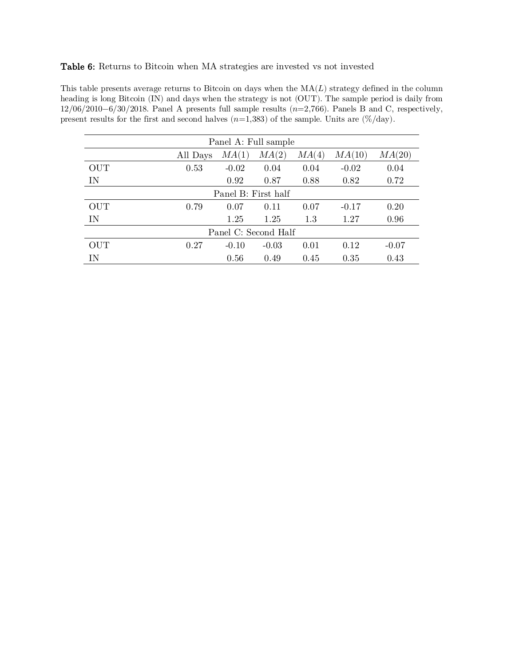### Table 6: Returns to Bitcoin when MA strategies are invested vs not invested

This table presents average returns to Bitcoin on days when the  $MA(L)$  strategy defined in the column heading is long Bitcoin (IN) and days when the strategy is not (OUT). The sample period is daily from  $12/06/2010-6/30/2018$ . Panel A presents full sample results  $(n=2,766)$ . Panels B and C, respectively, present results for the first and second halves  $(n=1,383)$  of the sample. Units are  $(\%/day)$ .

| Panel A: Full sample |                                                         |         |                      |      |         |      |  |  |  |  |  |
|----------------------|---------------------------------------------------------|---------|----------------------|------|---------|------|--|--|--|--|--|
|                      | MA(20)<br>MA(2)<br>MA(1)<br>MA(10)<br>MA(4)<br>All Days |         |                      |      |         |      |  |  |  |  |  |
| <b>OUT</b>           | 0.53                                                    | $-0.02$ | 0.04                 | 0.04 | $-0.02$ | 0.04 |  |  |  |  |  |
| IN                   |                                                         | 0.92    | 0.87                 | 0.88 | 0.82    | 0.72 |  |  |  |  |  |
| Panel B: First half  |                                                         |         |                      |      |         |      |  |  |  |  |  |
| <b>OUT</b>           | 0.79                                                    | 0.07    | 0.11                 | 0.07 | $-0.17$ | 0.20 |  |  |  |  |  |
| IN                   |                                                         | 1.25    | 1.25                 | 1.3  | 1.27    | 0.96 |  |  |  |  |  |
|                      |                                                         |         | Panel C: Second Half |      |         |      |  |  |  |  |  |
| <b>OUT</b>           | 0.27<br>0.01<br>$-0.03$<br>0.12<br>$-0.10$<br>$-0.07$   |         |                      |      |         |      |  |  |  |  |  |
| ΙN                   |                                                         | 0.56    | 0.49                 | 0.45 | 0.35    | 0.43 |  |  |  |  |  |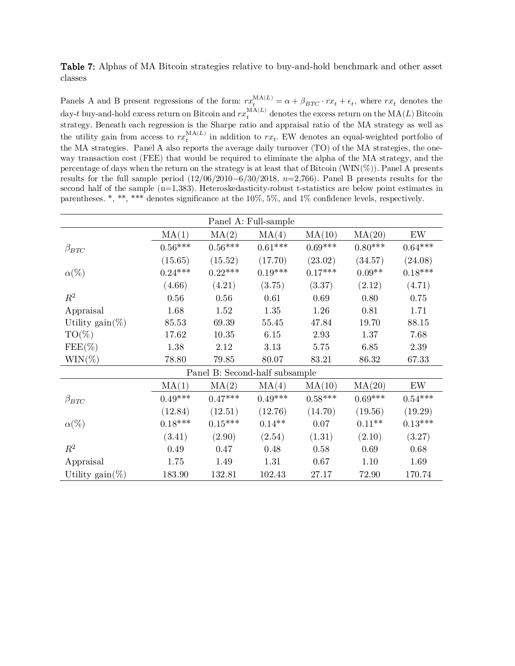Table 7: Alphas of MA Bitcoin strategies relative to buy-and-hold benchmark and other asset classes

Panels A and B present regressions of the form:  $rx_t^{MA(L)} = \alpha + \beta_{BTC} \cdot rx_t + \epsilon_t$ , where  $rx_t$  denotes the day-t buy-and-hold excess return on Bitcoin and  $rx_t^{\text{MA}(L)}$  denotes the excess return on the  $\text{MA}(L)$  Bitcoin strategy. Beneath each regression is the Sharpe ratio and appraisal ratio of the MA strategy as well as the utility gain from access to  $rx_t^{\text{MA}(L)}$  in addition to  $rx_t$ . EW denotes an equal-weighted portfolio of the MA strategies. Panel A also reports the average daily turnover (TO) of the MA strategies, the oneway transaction cost (FEE) that would be required to eliminate the alpha of the MA strategy, and the percentage of days when the return on the strategy is at least that of Bitcoin  $(WIN(\%))$ . Panel A presents results for the full sample period  $(12/06/2010-6/30/2018, n=2,766)$ . Panel B presents results for the second half of the sample (n=1,383). Heteroskedasticity-robust t-statistics are below point estimates in parentheses. \*, \*\*, \*\*\* denotes significance at the 10%, 5%, and 1% confidence levels, respectively.

|                           |           |           | Panel A: Full-sample           |           |           |           |
|---------------------------|-----------|-----------|--------------------------------|-----------|-----------|-----------|
|                           | MA(1)     | MA(2)     | MA(4)                          | MA(10)    | MA(20)    | EW        |
| $\beta_{BTC}$             | $0.56***$ | $0.56***$ | $0.61^{***}\,$                 | $0.69***$ | $0.80***$ | $0.64***$ |
|                           | (15.65)   | (15.52)   | (17.70)                        | (23.02)   | (34.57)   | (24.08)   |
| $\alpha(\%)$              | $0.24***$ | $0.22***$ | $0.19***$                      | $0.17***$ | $0.09**$  | $0.18***$ |
|                           | (4.66)    | (4.21)    | (3.75)                         | (3.37)    | (2.12)    | (4.71)    |
| $\mathbb{R}^2$            | $0.56\,$  | 0.56      | 0.61                           | 0.69      | 0.80      | 0.75      |
| Appraisal                 | 1.68      | 1.52      | 1.35                           | 1.26      | 0.81      | 1.71      |
| Utility $\text{gain}(\%)$ | 85.53     | 69.39     | 55.45                          | 47.84     | 19.70     | 88.15     |
| $TO(\%)$                  | 17.62     | 10.35     | 6.15                           | 2.93      | 1.37      | 7.68      |
| $FEE(\%)$                 | 1.38      | 2.12      | 3.13                           | 5.75      | 6.85      | 2.39      |
| $\text{WIN}(\% )$         | 78.80     | 79.85     | 80.07                          | 83.21     | 86.32     | 67.33     |
|                           |           |           | Panel B: Second-half subsample |           |           |           |
|                           | MA(1)     | MA(2)     | MA(4)                          | MA(10)    | MA(20)    | EW        |
| $\beta_{BTC}$             | $0.49***$ | $0.47***$ | $0.49***$                      | $0.58***$ | $0.69***$ | $0.54***$ |
|                           | (12.84)   | (12.51)   | (12.76)                        | (14.70)   | (19.56)   | (19.29)   |
| $\alpha(\%)$              | $0.18***$ | $0.15***$ | $0.14**$                       | 0.07      | $0.11**$  | $0.13***$ |
|                           | (3.41)    | (2.90)    | (2.54)                         | (1.31)    | (2.10)    | (3.27)    |
| $\mathbb{R}^2$            | 0.49      | 0.47      | 0.48                           | 0.58      | 0.69      | 0.68      |
| Appraisal                 | 1.75      | 1.49      | 1.31                           | 0.67      | 1.10      | 1.69      |
| Utility $\text{gain}(\%)$ | 183.90    | 132.81    | 102.43                         | 27.17     | 72.90     | 170.74    |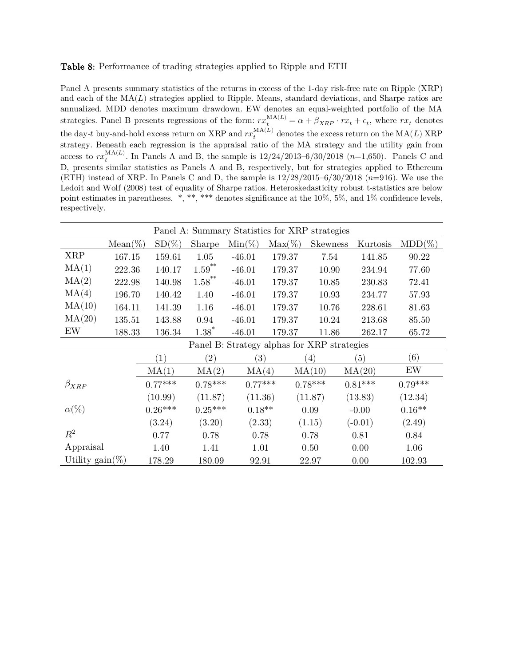### Table 8: Performance of trading strategies applied to Ripple and ETH

Panel A presents summary statistics of the returns in excess of the 1-day risk-free rate on Ripple (XRP) and each of the  $MA(L)$  strategies applied to Ripple. Means, standard deviations, and Sharpe ratios are annualized. MDD denotes maximum drawdown. EW denotes an equal-weighted portfolio of the MA strategies. Panel B presents regressions of the form:  $rx_t^{MA(L)} = \alpha + \beta_{XRP} \cdot rx_t + \epsilon_t$ , where  $rx_t$  denotes the day-t buy-and-hold excess return on XRP and  $rx_t^{\text{MA}(L)}$  denotes the excess return on the  $\text{MA}(L)$  XRP strategy. Beneath each regression is the appraisal ratio of the MA strategy and the utility gain from access to  $rx_t^{\text{MA}(L)}$ . In Panels A and B, the sample is  $12/24/2013-6/30/2018$   $(n=1,650)$ . Panels C and D, presents similar statistics as Panels A and B, respectively, but for strategies applied to Ethereum (ETH) instead of XRP. In Panels C and D, the sample is  $12/28/2015-6/30/2018$  ( $n=916$ ). We use the Ledoit and Wolf (2008) test of equality of Sharpe ratios. Heteroskedasticity robust t-statistics are below point estimates in parentheses. \*, \*\*, \*\*\* denotes significance at the 10%, 5%, and 1% confidence levels, respectively.

|                 | Panel A: Summary Statistics for XRP strategies |                   |           |                   |           |                                             |                  |           |  |  |
|-----------------|------------------------------------------------|-------------------|-----------|-------------------|-----------|---------------------------------------------|------------------|-----------|--|--|
|                 | $Mean(\%)$                                     | $SD(\%)$          | Sharpe    | $Min(\%)$         | $Max(\%)$ | <b>Skewness</b>                             | Kurtosis         | $MDD(\%)$ |  |  |
| <b>XRP</b>      | 167.15                                         | 159.61            | 1.05      | $-46.01$          | 179.37    | 7.54                                        | 141.85           | 90.22     |  |  |
| MA(1)           | 222.36<br>140.17                               |                   | $1.59***$ | $-46.01$          | 179.37    | 10.90                                       | 234.94           | 77.60     |  |  |
| MA(2)<br>222.98 |                                                | 140.98            | $1.58***$ | $-46.01$          | 179.37    | 10.85                                       | 230.83           | 72.41     |  |  |
| MA(4)<br>196.70 |                                                | 140.42            | 1.40      | $-46.01$          | 179.37    | 10.93                                       | 234.77           | 57.93     |  |  |
| MA(10)          | 164.11                                         | 141.39            | 1.16      | $-46.01$          | 179.37    | 10.76                                       | 228.61           | 81.63     |  |  |
| MA(20)          | 135.51                                         | 143.88            | 0.94      | $-46.01$          | 179.37    | 10.24                                       | 213.68           | 85.50     |  |  |
| EW              | 188.33                                         | 136.34            | $1.38*$   | $-46.01$          | 179.37    | 11.86                                       | 262.17           | 65.72     |  |  |
|                 |                                                |                   |           |                   |           | Panel B: Strategy alphas for XRP strategies |                  |           |  |  |
|                 |                                                | $\left( 1\right)$ | (2)       | $\left( 3\right)$ |           | $\left( 4\right)$                           | $\left(5\right)$ | (6)       |  |  |
|                 |                                                | MA(1)             | MA(2)     | MA(4)             |           | MA(10)                                      | MA(20)           | EW        |  |  |
| $\beta_{XRP}$   |                                                | $0.77***$         | $0.78***$ | $0.77***$         |           | $0.78***$                                   | $0.81***$        | $0.79***$ |  |  |
|                 |                                                | (10.99)           | (11.87)   | (11.36)           |           | (11.87)                                     | (13.83)          | (12.34)   |  |  |
| $\alpha(\%)$    |                                                | $0.26***$         | $0.25***$ | $0.18**$          |           | 0.09                                        | $-0.00$          | $0.16**$  |  |  |
|                 |                                                | (3.24)            | (3.20)    | (2.33)            |           | (1.15)                                      | $(-0.01)$        | (2.49)    |  |  |
| $R^2$           |                                                | 0.77              | 0.78      | 0.78              |           | 0.78                                        | 0.81             | 0.84      |  |  |
| Appraisal       |                                                | 1.40              | 1.41      | 1.01              |           | 0.50                                        | 0.00             | 1.06      |  |  |
| Utility gain(%) |                                                | 178.29            | 180.09    | 92.91             |           | 22.97                                       | 0.00             | 102.93    |  |  |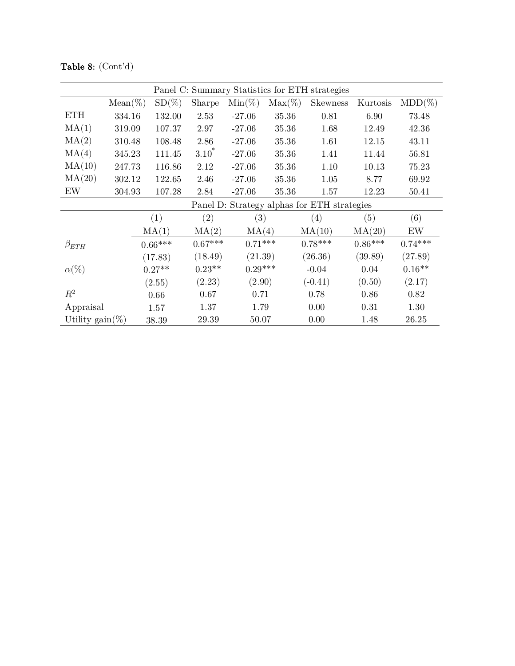|                   | Panel C: Summary Statistics for ETH strategies |      |                   |            |                   |               |                                             |           |           |  |
|-------------------|------------------------------------------------|------|-------------------|------------|-------------------|---------------|---------------------------------------------|-----------|-----------|--|
|                   | $Mean(\%)$                                     |      | $SD(\%)$          | Sharpe     | $Min(\%)$         | $Max(\%)$     | <b>Skewness</b>                             | Kurtosis  | $MDD(\%)$ |  |
| <b>ETH</b>        | 334.16                                         |      | 132.00            | 2.53       | $-27.06$          | 35.36         | 0.81                                        | 6.90      | 73.48     |  |
| MA(1)             | 319.09                                         |      | 107.37            | 2.97       | $-27.06$          | 35.36         | 1.68                                        | 12.49     | 42.36     |  |
| MA(2)             | 310.48                                         |      | 108.48            | 2.86       | $-27.06$          | 35.36<br>1.61 |                                             | 12.15     | 43.11     |  |
| MA(4)             | 345.23                                         |      | 111.45            | $3.10^{*}$ | $-27.06$          | 35.36<br>1.41 |                                             | 11.44     | 56.81     |  |
| MA(10)<br>247.73  |                                                |      | 116.86            | 2.12       | $-27.06$          | 35.36         | 1.10                                        | 10.13     | 75.23     |  |
| MA(20)<br>302.12  |                                                |      | 122.65            | 2.46       | $-27.06$          | 35.36         | 1.05                                        | 8.77      | 69.92     |  |
| EW<br>304.93      |                                                |      | 107.28            | 2.84       | $-27.06$          | 35.36         | 1.57                                        | 12.23     | 50.41     |  |
|                   |                                                |      |                   |            |                   |               | Panel D: Strategy alphas for ETH strategies |           |           |  |
|                   |                                                |      | $\left( 1\right)$ | (2)        | $\left( 3\right)$ |               | $\left( 4\right)$                           | (5)       | (6)       |  |
|                   |                                                |      | MA(1)             | MA(2)      | MA(4)             |               | MA(10)                                      | MA(20)    | EW        |  |
| $\beta_{ETH}$     |                                                |      | $0.66***$         | $0.67***$  | $0.71***$         |               | $0.78***$                                   | $0.86***$ | $0.74***$ |  |
|                   |                                                |      | (17.83)           | (18.49)    | (21.39)           |               | (26.36)                                     | (39.89)   | (27.89)   |  |
| $\alpha(\%)$      |                                                |      | $0.27**$          | $0.23**$   | $0.29***$         |               | $-0.04$                                     | 0.04      | $0.16**$  |  |
|                   |                                                |      | (2.55)            | (2.23)     | (2.90)            |               | $(-0.41)$                                   | (0.50)    | (2.17)    |  |
| $\,R^2$           |                                                | 0.66 | 0.67              | 0.71       |                   | 0.78          | 0.86                                        | 0.82      |           |  |
| Appraisal<br>1.57 |                                                |      |                   | 1.37       | 1.79              |               | 0.00                                        | 0.31      | 1.30      |  |
| Utility gain(%)   |                                                |      | 38.39             | 29.39      | 50.07             |               | 0.00                                        | 1.48      | 26.25     |  |

Table 8: (Cont'd)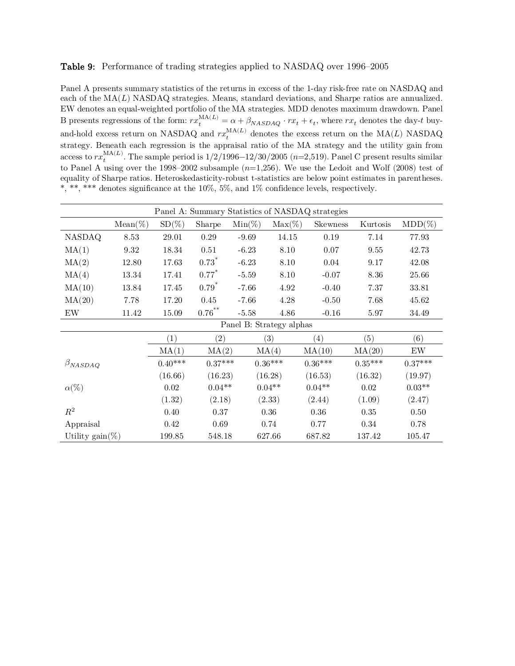### Table 9: Performance of trading strategies applied to NASDAQ over 1996–2005

Panel A presents summary statistics of the returns in excess of the 1-day risk-free rate on NASDAQ and each of the  $MA(L)$  NASDAQ strategies. Means, standard deviations, and Sharpe ratios are annualized. EW denotes an equal-weighted portfolio of the MA strategies. MDD denotes maximum drawdown. Panel B presents regressions of the form:  $rx_t^{\text{MA}(L)} = \alpha + \beta_{\text{MASDAQ}} \cdot rx_t + \epsilon_t$ , where  $rx_t$  denotes the day-t buyand-hold excess return on NASDAQ and  $rx_t^{\text{MA}(L)}$  denotes the excess return on the MA(L) NASDAQ strategy. Beneath each regression is the appraisal ratio of the MA strategy and the utility gain from access to  $rx_t^{\text{MA}(L)}$ . The sample period is  $1/2/1996-12/30/2005$   $(n=2,519)$ . Panel C present results similar to Panel A using over the 1998–2002 subsample  $(n=1,256)$ . We use the Ledoit and Wolf (2008) test of equality of Sharpe ratios. Heteroskedasticity-robust t-statistics are below point estimates in parentheses. \*, \*\*, \*\*\* denotes significance at the 10%, 5%, and 1% confidence levels, respectively.

| Panel A: Summary Statistics of NASDAQ strategies |            |           |                   |                          |           |                 |           |                   |
|--------------------------------------------------|------------|-----------|-------------------|--------------------------|-----------|-----------------|-----------|-------------------|
|                                                  | $Mean(\%)$ | $SD(\%)$  | Sharpe            | $Min(\%)$                | $Max(\%)$ | <b>Skewness</b> | Kurtosis  | $MDD(\%)$         |
| <b>NASDAQ</b>                                    | 8.53       | 29.01     | $0.29\,$          | $-9.69$                  | 14.15     | 0.19            | 7.14      | 77.93             |
| MA(1)                                            | 9.32       | 18.34     | 0.51              | $-6.23$                  | 8.10      | 0.07            | 9.55      | 42.73             |
| MA(2)                                            | 12.80      | 17.63     | $0.73*$           | $-6.23$                  | 8.10      | 0.04            | 9.17      | 42.08             |
| MA(4)<br>13.34                                   |            | 17.41     | $0.77*$           | $-5.59$                  | $8.10\,$  | $-0.07$         | 8.36      | 25.66             |
| MA(10)<br>13.84                                  |            | 17.45     | $0.79*$           | $-7.66$                  | 4.92      | $-0.40$         | 7.37      | 33.81             |
| MA(20)                                           | 7.78       | 17.20     | 0.45              | $-7.66$                  | 4.28      | $-0.50$         | 7.68      | 45.62             |
| $\mathop{\rm EW}$                                | 11.42      | 15.09     | $0.76***$         | $-5.58$                  | 4.86      | $-0.16$         | 5.97      | 34.49             |
|                                                  |            |           |                   | Panel B: Strategy alphas |           |                 |           |                   |
|                                                  |            | (1)       | $\left( 2\right)$ |                          | (3)       | (4)             | (5)       | (6)               |
|                                                  |            | MA(1)     | MA(2)             |                          | MA(4)     | MA(10)          | MA(20)    | $\mathop{\rm EW}$ |
| $\beta_{NASDAQ}$                                 |            | $0.40***$ | $0.37***$         |                          | $0.36***$ | $0.36***$       | $0.35***$ | $0.37***$         |
|                                                  |            | (16.66)   | (16.23)           |                          | (16.28)   | (16.53)         | (16.32)   | (19.97)           |
| $\alpha(\%)$                                     |            | $0.02\,$  | $0.04**$          |                          | $0.04**$  | $0.04**$        | 0.02      | $0.03**$          |
|                                                  |            | (1.32)    | (2.18)            |                          | (2.33)    | (2.44)          | (1.09)    | (2.47)            |
| $\mathbb{R}^2$                                   |            | 0.40      | 0.37              |                          | 0.36      | $0.36\,$        | $0.35\,$  | 0.50              |
| Appraisal                                        |            | 0.42      | 0.69              |                          | 0.74      | 0.77            | 0.34      | 0.78              |
| Utility gain(%)                                  |            | 199.85    | 548.18            |                          | 627.66    | 687.82          | 137.42    | 105.47            |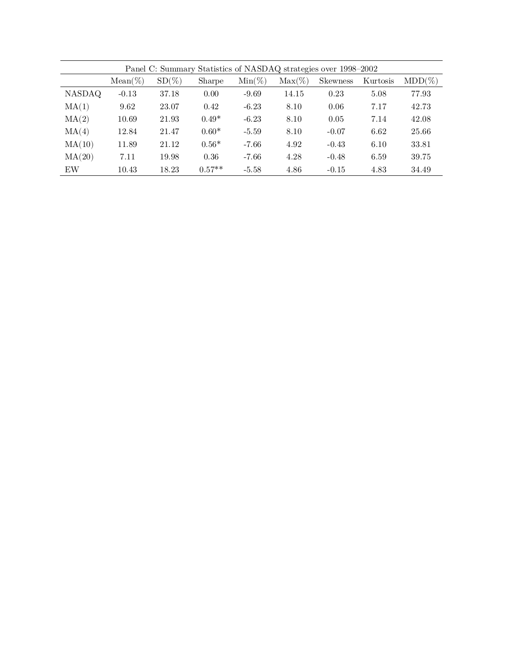|        | Panel C: Summary Statistics of NASDAQ strategies over 1998–2002 |          |          |           |           |                 |          |           |  |  |  |
|--------|-----------------------------------------------------------------|----------|----------|-----------|-----------|-----------------|----------|-----------|--|--|--|
|        | $Mean(\%)$                                                      | $SD(\%)$ | Sharpe   | $Min(\%)$ | $Max(\%)$ | <b>Skewness</b> | Kurtosis | $MDD(\%)$ |  |  |  |
| NASDAQ | $-0.13$                                                         | 37.18    | 0.00     | $-9.69$   | 14.15     | 0.23            | 5.08     | 77.93     |  |  |  |
| MA(1)  | 9.62                                                            | 23.07    | 0.42     | $-6.23$   | 8.10      | 0.06            | 7.17     | 42.73     |  |  |  |
| MA(2)  | 10.69                                                           | 21.93    | $0.49*$  | $-6.23$   | 8.10      | 0.05            | 7.14     | 42.08     |  |  |  |
| MA(4)  | 12.84                                                           | 21.47    | $0.60*$  | $-5.59$   | 8.10      | $-0.07$         | 6.62     | 25.66     |  |  |  |
| MA(10) | 11.89                                                           | 21.12    | $0.56*$  | $-7.66$   | 4.92      | $-0.43$         | 6.10     | 33.81     |  |  |  |
| MA(20) | 7.11                                                            | 19.98    | 0.36     | $-7.66$   | 4.28      | $-0.48$         | 6.59     | 39.75     |  |  |  |
| EW     | 10.43                                                           | 18.23    | $0.57**$ | $-5.58$   | 4.86      | $-0.15$         | 4.83     | 34.49     |  |  |  |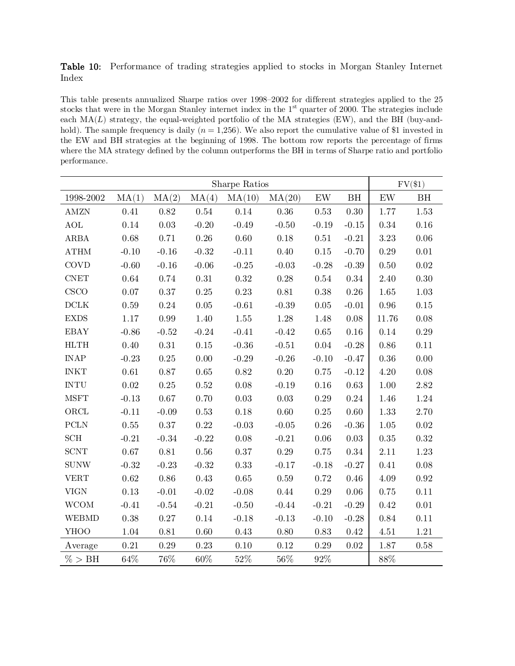|       | Table 10: Performance of trading strategies applied to stocks in Morgan Stanley Internet |  |  |  |  |  |
|-------|------------------------------------------------------------------------------------------|--|--|--|--|--|
| Index |                                                                                          |  |  |  |  |  |

This table presents annualized Sharpe ratios over 1998–2002 for different strategies applied to the 25 stocks that were in the Morgan Stanley internet index in the  $1<sup>st</sup>$  quarter of 2000. The strategies include each  $MA(L)$  strategy, the equal-weighted portfolio of the MA strategies (EW), and the BH (buy-andhold). The sample frequency is daily  $(n = 1,256)$ . We also report the cumulative value of \$1 invested in the EW and BH strategies at the beginning of 1998. The bottom row reports the percentage of firms where the MA strategy defined by the column outperforms the BH in terms of Sharpe ratio and portfolio performance.

|                              | Sharpe Ratios |          |          |          |          | $FV(\$1)$     |          |                   |          |
|------------------------------|---------------|----------|----------|----------|----------|---------------|----------|-------------------|----------|
| 1998-2002                    | MA(1)         | MA(2)    | MA(4)    | MA(10)   | MA(20)   | $\mathrm{EW}$ | BH       | $\mathop{\rm EW}$ | BH       |
| <b>AMZN</b>                  | 0.41          | $0.82\,$ | $0.54\,$ | 0.14     | $0.36\,$ | 0.53          | $0.30\,$ | 1.77              | 1.53     |
| $\operatorname{AOL}$         | $0.14\,$      | $0.03\,$ | $-0.20$  | $-0.49$  | $-0.50$  | $-0.19$       | $-0.15$  | $0.34\,$          | 0.16     |
| ARBA                         | $0.68\,$      | 0.71     | $0.26\,$ | $0.60\,$ | $0.18\,$ | 0.51          | $-0.21$  | $3.23\,$          | $0.06\,$ |
| $\operatorname{ATHM}$        | $-0.10$       | $-0.16$  | $-0.32$  | $-0.11$  | 0.40     | $0.15\,$      | $-0.70$  | 0.29              | 0.01     |
| <b>COVD</b>                  | $-0.60$       | $-0.16$  | $-0.06$  | $-0.25$  | $-0.03$  | $-0.28$       | $-0.39$  | $0.50\,$          | $0.02\,$ |
| $\ensuremath{\mathrm{CNET}}$ | $0.64\,$      | 0.74     | $0.31\,$ | $0.32\,$ | $0.28\,$ | 0.54          | 0.34     | 2.40              | $0.30\,$ |
| CSCO                         | 0.07          | 0.37     | $0.25\,$ | 0.23     | $0.81\,$ | $0.38\,$      | $0.26\,$ | 1.65              | 1.03     |
| $\rm DCLK$                   | $0.59\,$      | $0.24\,$ | $0.05\,$ | $-0.61$  | $-0.39$  | $0.05\,$      | $-0.01$  | $0.96\,$          | $0.15\,$ |
| $\ensuremath{\mathrm{EXDS}}$ | $1.17\,$      | $0.99\,$ | 1.40     | 1.55     | 1.28     | 1.48          | $0.08\,$ | 11.76             | 0.08     |
| <b>EBAY</b>                  | $-0.86$       | $-0.52$  | $-0.24$  | $-0.41$  | $-0.42$  | $0.65\,$      | $0.16\,$ | 0.14              | $0.29\,$ |
| HLTH                         | $0.40\,$      | $0.31\,$ | $0.15\,$ | $-0.36$  | $-0.51$  | $0.04\,$      | $-0.28$  | 0.86              | $0.11\,$ |
| <b>INAP</b>                  | $-0.23$       | $0.25\,$ | 0.00     | $-0.29$  | $-0.26$  | $-0.10$       | $-0.47$  | $0.36\,$          | $0.00\,$ |
| <b>INKT</b>                  | $0.61\,$      | $0.87\,$ | $0.65\,$ | $0.82\,$ | $0.20\,$ | $0.75\,$      | $-0.12$  | 4.20              | 0.08     |
| <b>INTU</b>                  | $0.02\,$      | $0.25\,$ | $0.52\,$ | $0.08\,$ | $-0.19$  | $0.16\,$      | 0.63     | $1.00\,$          | 2.82     |
| <b>MSFT</b>                  | $-0.13$       | $0.67\,$ | 0.70     | $0.03\,$ | $0.03\,$ | $0.29\,$      | $0.24\,$ | 1.46              | $1.24\,$ |
| $\rm ORCL$                   | $-0.11$       | $-0.09$  | $0.53\,$ | $0.18\,$ | $0.60\,$ | $0.25\,$      | $0.60\,$ | 1.33              | 2.70     |
| ${\mbox{PCLN}}$              | $0.55\,$      | 0.37     | 0.22     | $-0.03$  | $-0.05$  | 0.26          | $-0.36$  | 1.05              | 0.02     |
| $\mathop{\rm SCH}\nolimits$  | $-0.21$       | $-0.34$  | $-0.22$  | $0.08\,$ | $-0.21$  | 0.06          | $0.03\,$ | $0.35\,$          | 0.32     |
| $\operatorname{SCNT}$        | $0.67\,$      | $0.81\,$ | $0.56\,$ | $0.37\,$ | $0.29\,$ | 0.75          | 0.34     | 2.11              | 1.23     |
| <b>SUNW</b>                  | $-0.32$       | $-0.23$  | $-0.32$  | 0.33     | $-0.17$  | $-0.18$       | $-0.27$  | 0.41              | $0.08\,$ |
| <b>VERT</b>                  | $\rm 0.62$    | $0.86\,$ | 0.43     | $0.65\,$ | $0.59\,$ | 0.72          | $0.46\,$ | 4.09              | 0.92     |
| <b>VIGN</b>                  | 0.13          | $-0.01$  | $-0.02$  | $-0.08$  | 0.44     | $0.29\,$      | 0.06     | 0.75              | 0.11     |
| <b>WCOM</b>                  | $-0.41$       | $-0.54$  | $-0.21$  | $-0.50$  | $-0.44$  | $-0.21$       | $-0.29$  | $0.42\,$          | $0.01\,$ |
| <b>WEBMD</b>                 | $0.38\,$      | $0.27\,$ | $0.14\,$ | $-0.18$  | $-0.13$  | $-0.10$       | $-0.28$  | $0.84\,$          | $0.11\,$ |
| <b>YHOO</b>                  | $1.04\,$      | 0.81     | 0.60     | 0.43     | 0.80     | 0.83          | 0.42     | 4.51              | $1.21\,$ |
| Average                      | 0.21          | 0.29     | 0.23     | 0.10     | 0.12     | 0.29          | 0.02     | 1.87              | $0.58\,$ |
| % > BH                       | 64%           | 76%      | 60%      | 52%      | 56%      | 92%           |          | 88%               |          |